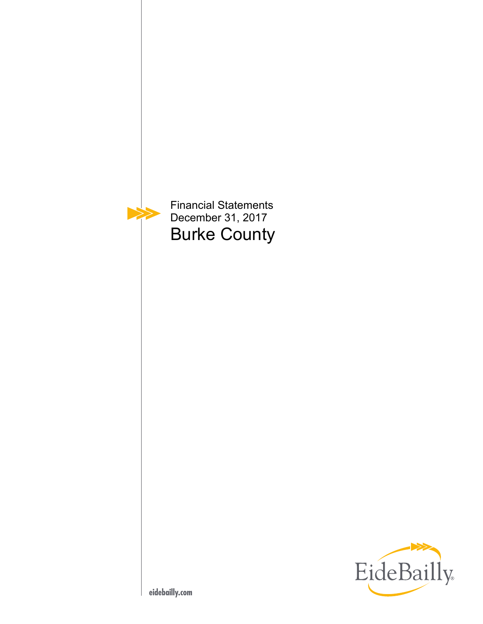

Financial Statements December 31, 2017 Burke County

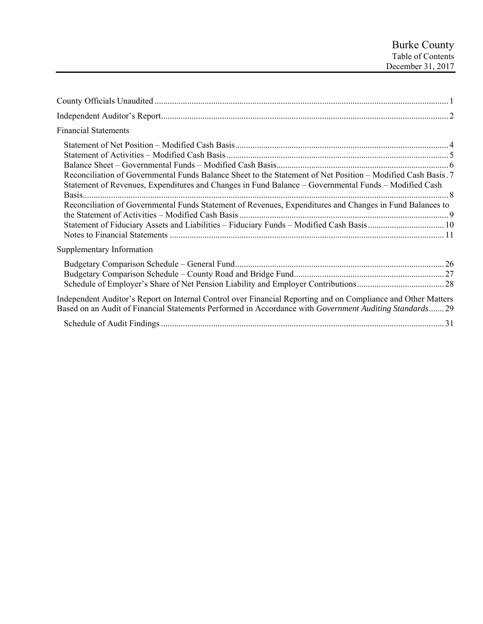| <b>Financial Statements</b>                                                                                                                                                                                                                                                                                                                                                                                                  |  |
|------------------------------------------------------------------------------------------------------------------------------------------------------------------------------------------------------------------------------------------------------------------------------------------------------------------------------------------------------------------------------------------------------------------------------|--|
| Reconciliation of Governmental Funds Balance Sheet to the Statement of Net Position - Modified Cash Basis. 7<br>Statement of Revenues, Expenditures and Changes in Fund Balance - Governmental Funds - Modified Cash<br>Reconciliation of Governmental Funds Statement of Revenues, Expenditures and Changes in Fund Balances to<br>Statement of Fiduciary Assets and Liabilities - Fiduciary Funds - Modified Cash Basis 10 |  |
| Supplementary Information                                                                                                                                                                                                                                                                                                                                                                                                    |  |
|                                                                                                                                                                                                                                                                                                                                                                                                                              |  |
| Independent Auditor's Report on Internal Control over Financial Reporting and on Compliance and Other Matters<br>Based on an Audit of Financial Statements Performed in Accordance with Government Auditing Standards 29                                                                                                                                                                                                     |  |
|                                                                                                                                                                                                                                                                                                                                                                                                                              |  |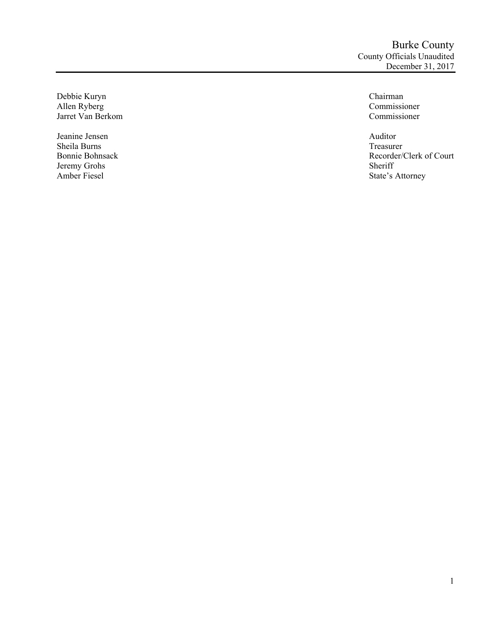Debbie Kuryn Chairman Allen Ryberg Commissioner Jarret Van Berkom Commissioner

Jeanine Jensen Auditor Sheila Burns Treasurer Jeremy Grohs Sheriff<br>
Amber Fiesel State's L

Bonnie Bohnsack Recorder/Clerk of Court State's Attorney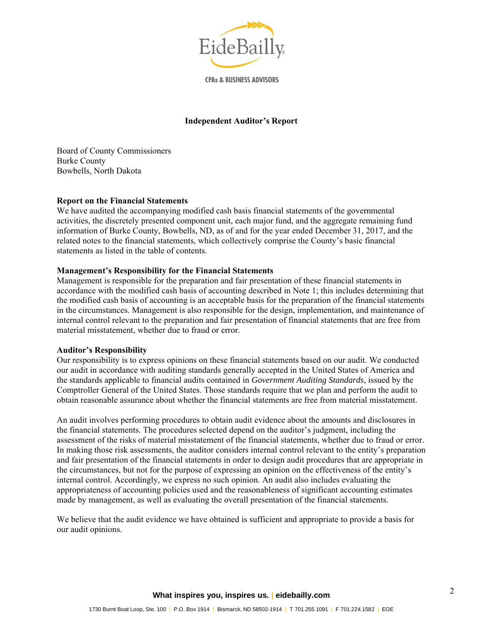

**CPAs & BUSINESS ADVISORS** 

### **Independent Auditor's Report**

Board of County Commissioners Burke County Bowbells, North Dakota

#### **Report on the Financial Statements**

We have audited the accompanying modified cash basis financial statements of the governmental activities, the discretely presented component unit, each major fund, and the aggregate remaining fund information of Burke County, Bowbells, ND, as of and for the year ended December 31, 2017, and the related notes to the financial statements, which collectively comprise the County's basic financial statements as listed in the table of contents.

### **Management's Responsibility for the Financial Statements**

Management is responsible for the preparation and fair presentation of these financial statements in accordance with the modified cash basis of accounting described in Note 1; this includes determining that the modified cash basis of accounting is an acceptable basis for the preparation of the financial statements in the circumstances. Management is also responsible for the design, implementation, and maintenance of internal control relevant to the preparation and fair presentation of financial statements that are free from material misstatement, whether due to fraud or error.

### **Auditor's Responsibility**

Our responsibility is to express opinions on these financial statements based on our audit. We conducted our audit in accordance with auditing standards generally accepted in the United States of America and the standards applicable to financial audits contained in *Government Auditing Standards,* issued by the Comptroller General of the United States. Those standards require that we plan and perform the audit to obtain reasonable assurance about whether the financial statements are free from material misstatement.

An audit involves performing procedures to obtain audit evidence about the amounts and disclosures in the financial statements. The procedures selected depend on the auditor's judgment, including the assessment of the risks of material misstatement of the financial statements, whether due to fraud or error. In making those risk assessments, the auditor considers internal control relevant to the entity's preparation and fair presentation of the financial statements in order to design audit procedures that are appropriate in the circumstances, but not for the purpose of expressing an opinion on the effectiveness of the entity's internal control. Accordingly, we express no such opinion. An audit also includes evaluating the appropriateness of accounting policies used and the reasonableness of significant accounting estimates made by management, as well as evaluating the overall presentation of the financial statements.

We believe that the audit evidence we have obtained is sufficient and appropriate to provide a basis for our audit opinions.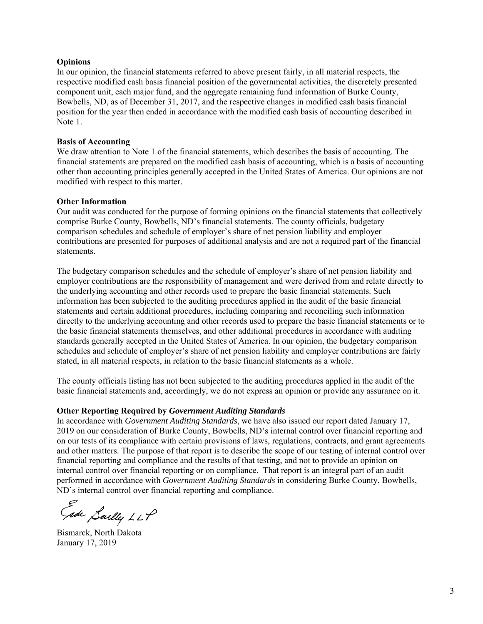#### **Opinions**

In our opinion, the financial statements referred to above present fairly, in all material respects, the respective modified cash basis financial position of the governmental activities, the discretely presented component unit, each major fund, and the aggregate remaining fund information of Burke County, Bowbells, ND, as of December 31, 2017, and the respective changes in modified cash basis financial position for the year then ended in accordance with the modified cash basis of accounting described in Note 1.

#### **Basis of Accounting**

We draw attention to Note 1 of the financial statements, which describes the basis of accounting. The financial statements are prepared on the modified cash basis of accounting, which is a basis of accounting other than accounting principles generally accepted in the United States of America. Our opinions are not modified with respect to this matter.

#### **Other Information**

Our audit was conducted for the purpose of forming opinions on the financial statements that collectively comprise Burke County, Bowbells, ND's financial statements. The county officials, budgetary comparison schedules and schedule of employer's share of net pension liability and employer contributions are presented for purposes of additional analysis and are not a required part of the financial statements.

The budgetary comparison schedules and the schedule of employer's share of net pension liability and employer contributions are the responsibility of management and were derived from and relate directly to the underlying accounting and other records used to prepare the basic financial statements. Such information has been subjected to the auditing procedures applied in the audit of the basic financial statements and certain additional procedures, including comparing and reconciling such information directly to the underlying accounting and other records used to prepare the basic financial statements or to the basic financial statements themselves, and other additional procedures in accordance with auditing standards generally accepted in the United States of America. In our opinion, the budgetary comparison schedules and schedule of employer's share of net pension liability and employer contributions are fairly stated, in all material respects, in relation to the basic financial statements as a whole.

The county officials listing has not been subjected to the auditing procedures applied in the audit of the basic financial statements and, accordingly, we do not express an opinion or provide any assurance on it.

#### **Other Reporting Required by** *Government Auditing Standards*

In accordance with *Government Auditing Standards*, we have also issued our report dated January 17, 2019 on our consideration of Burke County, Bowbells, ND's internal control over financial reporting and on our tests of its compliance with certain provisions of laws, regulations, contracts, and grant agreements and other matters. The purpose of that report is to describe the scope of our testing of internal control over financial reporting and compliance and the results of that testing, and not to provide an opinion on internal control over financial reporting or on compliance. That report is an integral part of an audit performed in accordance with *Government Auditing Standards* in considering Burke County, Bowbells, ND's internal control over financial reporting and compliance.

Gede Sailly LLP

Bismarck, North Dakota January 17, 2019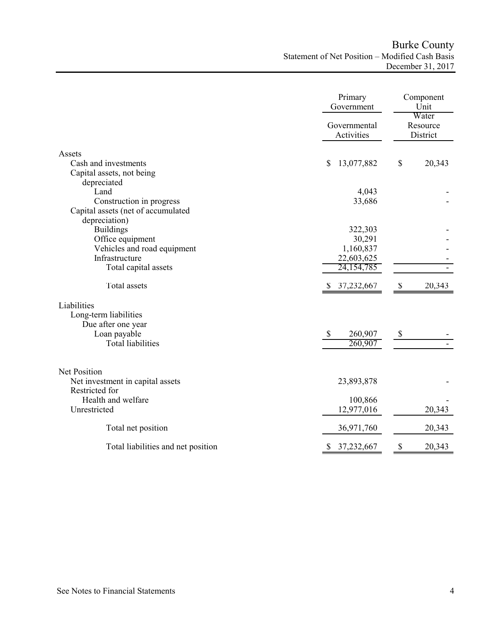# Burke County Statement of Net Position – Modified Cash Basis December 31, 2017

|                                    | Primary<br>Government      |                           | Component<br>Unit             |  |
|------------------------------------|----------------------------|---------------------------|-------------------------------|--|
|                                    | Governmental<br>Activities |                           | Water<br>Resource<br>District |  |
| Assets                             |                            |                           |                               |  |
| Cash and investments               | 13,077,882<br>\$           | $\boldsymbol{\mathsf{S}}$ | 20,343                        |  |
| Capital assets, not being          |                            |                           |                               |  |
| depreciated                        |                            |                           |                               |  |
| Land                               | 4,043                      |                           |                               |  |
| Construction in progress           | 33,686                     |                           |                               |  |
| Capital assets (net of accumulated |                            |                           |                               |  |
| depreciation)                      |                            |                           |                               |  |
| <b>Buildings</b>                   | 322,303                    |                           |                               |  |
| Office equipment                   | 30,291                     |                           |                               |  |
| Vehicles and road equipment        | 1,160,837                  |                           |                               |  |
| Infrastructure                     | 22,603,625                 |                           |                               |  |
| Total capital assets               | 24, 154, 785               |                           |                               |  |
|                                    |                            |                           |                               |  |
| Total assets                       | 37,232,667<br>-S           | \$                        | 20,343                        |  |
| Liabilities                        |                            |                           |                               |  |
| Long-term liabilities              |                            |                           |                               |  |
| Due after one year                 |                            |                           |                               |  |
| Loan payable                       | 260,907<br>\$              | \$                        |                               |  |
| <b>Total liabilities</b>           | 260,907                    |                           |                               |  |
|                                    |                            |                           |                               |  |
| Net Position                       |                            |                           |                               |  |
| Net investment in capital assets   | 23,893,878                 |                           |                               |  |
| Restricted for                     |                            |                           |                               |  |
| Health and welfare                 | 100,866                    |                           |                               |  |
| Unrestricted                       | 12,977,016                 |                           | 20,343                        |  |
| Total net position                 | 36,971,760                 |                           | 20,343                        |  |
| Total liabilities and net position | \$ 37,232,667              | \$                        | 20,343                        |  |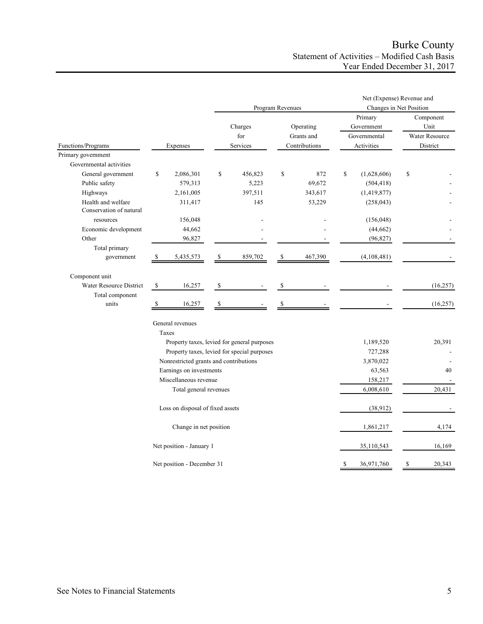## Burke County Statement of Activities – Modified Cash Basis Year Ended December 31, 2017

|                         |       |                                             |                      | Program Revenues |                             | Net (Expense) Revenue and<br>Changes in Net Position |                            |                                            |           |  |
|-------------------------|-------|---------------------------------------------|----------------------|------------------|-----------------------------|------------------------------------------------------|----------------------------|--------------------------------------------|-----------|--|
|                         |       |                                             | Charges<br>Operating |                  |                             | Primary<br>Government                                |                            | Component<br>Unit<br><b>Water Resource</b> |           |  |
| Functions/Programs      |       | Expenses                                    | for<br>Services      |                  | Grants and<br>Contributions |                                                      | Governmental<br>Activities |                                            | District  |  |
| Primary government      |       |                                             |                      |                  |                             |                                                      |                            |                                            |           |  |
| Governmental activities |       |                                             |                      |                  |                             |                                                      |                            |                                            |           |  |
| General government      | \$    | 2,086,301                                   | \$<br>456,823        | $\mathbb{S}$     | 872                         | $\mathbb{S}$                                         | (1,628,606)                | \$                                         |           |  |
| Public safety           |       | 579,313                                     | 5,223                |                  | 69,672                      |                                                      | (504, 418)                 |                                            |           |  |
| Highways                |       | 2,161,005                                   | 397,511              |                  | 343,617                     |                                                      | (1,419,877)                |                                            |           |  |
| Health and welfare      |       | 311,417                                     | 145                  |                  | 53,229                      |                                                      | (258, 043)                 |                                            |           |  |
| Conservation of natural |       |                                             |                      |                  |                             |                                                      |                            |                                            |           |  |
| resources               |       | 156,048                                     |                      |                  |                             |                                                      | (156, 048)                 |                                            |           |  |
| Economic development    |       | 44,662                                      |                      |                  |                             |                                                      | (44, 662)                  |                                            |           |  |
| Other                   |       | 96,827                                      |                      |                  |                             |                                                      | (96, 827)                  |                                            |           |  |
| Total primary           |       |                                             |                      |                  |                             |                                                      |                            |                                            |           |  |
| government              | -S    | 5,435,573                                   | \$<br>859,702        | \$               | 467,390                     |                                                      | (4, 108, 481)              |                                            |           |  |
| Component unit          |       |                                             |                      |                  |                             |                                                      |                            |                                            |           |  |
| Water Resource District | \$    | 16,257                                      | \$                   | \$               |                             |                                                      |                            |                                            | (16, 257) |  |
| Total component         |       |                                             |                      |                  |                             |                                                      |                            |                                            |           |  |
| units                   |       | 16,257                                      | \$                   | \$               |                             |                                                      |                            |                                            | (16, 257) |  |
|                         |       | General revenues                            |                      |                  |                             |                                                      |                            |                                            |           |  |
|                         | Taxes |                                             |                      |                  |                             |                                                      |                            |                                            |           |  |
|                         |       | Property taxes, levied for general purposes |                      |                  |                             |                                                      | 1,189,520                  |                                            | 20,391    |  |
|                         |       | Property taxes, levied for special purposes |                      |                  |                             |                                                      | 727,288                    |                                            |           |  |
|                         |       | Nonrestricted grants and contributions      |                      |                  |                             |                                                      | 3,870,022                  |                                            |           |  |
|                         |       | Earnings on investments                     |                      |                  |                             |                                                      | 63,563                     |                                            | 40        |  |
|                         |       | Miscellaneous revenue                       |                      |                  |                             |                                                      | 158,217                    |                                            |           |  |
|                         |       | Total general revenues                      |                      |                  |                             |                                                      | 6,008,610                  |                                            | 20,431    |  |
|                         |       | Loss on disposal of fixed assets            |                      |                  |                             |                                                      | (38, 912)                  |                                            |           |  |
|                         |       | Change in net position                      |                      |                  |                             |                                                      | 1,861,217                  |                                            | 4,174     |  |
|                         |       | Net position - January 1                    |                      |                  |                             |                                                      | 35,110,543                 |                                            | 16,169    |  |
|                         |       | Net position - December 31                  |                      |                  |                             | \$                                                   | 36,971,760                 | \$                                         | 20,343    |  |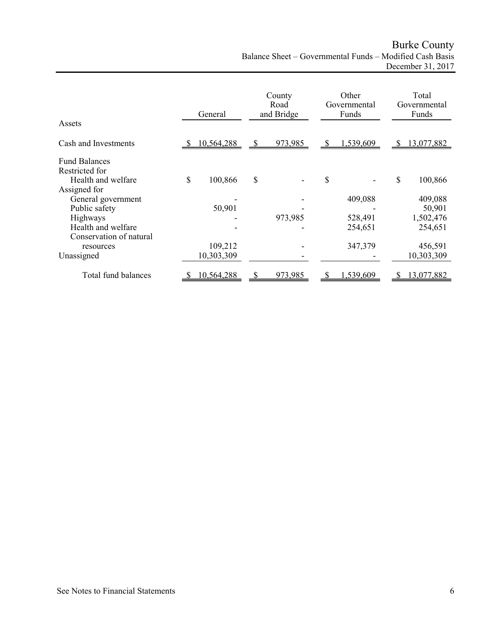Burke County Balance Sheet – Governmental Funds – Modified Cash Basis December 31, 2017

|                         |              | General    | County<br>Road<br>and Bridge |    | Other<br>Governmental<br>Funds |               | Total<br>Governmental<br>Funds |  |  |
|-------------------------|--------------|------------|------------------------------|----|--------------------------------|---------------|--------------------------------|--|--|
| Assets                  |              |            |                              |    |                                |               |                                |  |  |
| Cash and Investments    |              | 10,564,288 | 973,985                      | -8 | 1,539,609                      | Ж,            | 13,077,882                     |  |  |
| <b>Fund Balances</b>    |              |            |                              |    |                                |               |                                |  |  |
| Restricted for          |              |            |                              |    |                                |               |                                |  |  |
| Health and welfare      | $\mathbb{S}$ | 100,866    | \$                           | \$ |                                | $\mathcal{S}$ | 100,866                        |  |  |
| Assigned for            |              |            |                              |    |                                |               |                                |  |  |
| General government      |              |            |                              |    | 409,088                        |               | 409,088                        |  |  |
| Public safety           |              | 50,901     |                              |    |                                |               | 50,901                         |  |  |
| Highways                |              |            | 973,985                      |    | 528,491                        |               | 1,502,476                      |  |  |
| Health and welfare      |              |            |                              |    | 254,651                        |               | 254,651                        |  |  |
| Conservation of natural |              |            |                              |    |                                |               |                                |  |  |
| resources               |              | 109,212    |                              |    | 347,379                        |               | 456,591                        |  |  |
| Unassigned              |              | 10,303,309 |                              |    |                                |               | 10,303,309                     |  |  |
| Total fund balances     |              | 10,564,288 | 973,985                      |    | 1,539,609                      |               | 13,077,882                     |  |  |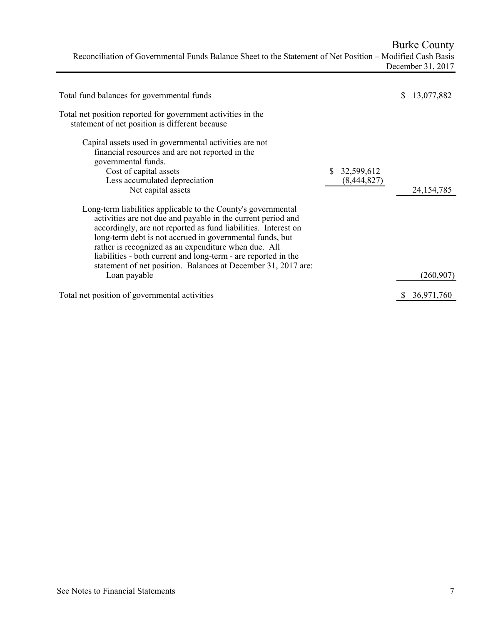Burke County

| Reconciliation of Governmental Funds Balance Sheet to the Statement of Net Position – Modified Cash Basis |                   |
|-----------------------------------------------------------------------------------------------------------|-------------------|
|                                                                                                           | December 31, 2017 |

| Total fund balances for governmental funds                                                                                                                                                                                                                                                                                                                                                                                                                             |                                   | 13,077,882   |
|------------------------------------------------------------------------------------------------------------------------------------------------------------------------------------------------------------------------------------------------------------------------------------------------------------------------------------------------------------------------------------------------------------------------------------------------------------------------|-----------------------------------|--------------|
| Total net position reported for government activities in the<br>statement of net position is different because                                                                                                                                                                                                                                                                                                                                                         |                                   |              |
| Capital assets used in governmental activities are not<br>financial resources and are not reported in the<br>governmental funds.<br>Cost of capital assets<br>Less accumulated depreciation<br>Net capital assets                                                                                                                                                                                                                                                      | 32,599,612<br>S.<br>(8, 444, 827) | 24, 154, 785 |
| Long-term liabilities applicable to the County's governmental<br>activities are not due and payable in the current period and<br>accordingly, are not reported as fund liabilities. Interest on<br>long-term debt is not accrued in governmental funds, but<br>rather is recognized as an expenditure when due. All<br>liabilities - both current and long-term - are reported in the<br>statement of net position. Balances at December 31, 2017 are:<br>Loan payable |                                   | (260, 907)   |
| Total net position of governmental activities                                                                                                                                                                                                                                                                                                                                                                                                                          |                                   | 36,971,760   |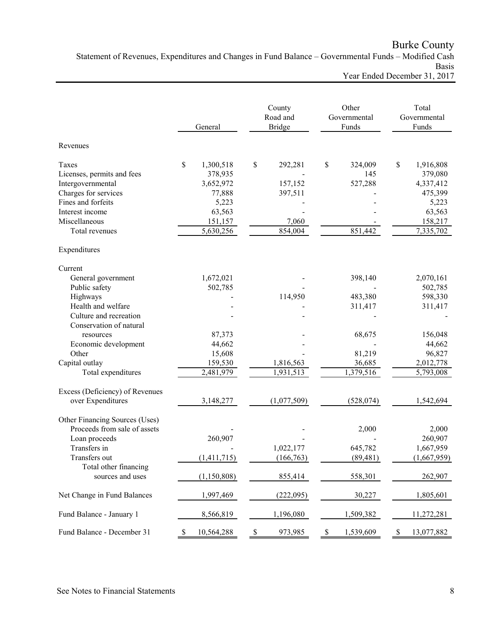Burke County Statement of Revenues, Expenditures and Changes in Fund Balance – Governmental Funds – Modified Cash Basis

Year Ended December 31, 2017

|                                 |    | General     |    | County<br>Road and<br><b>Bridge</b> |                           | Other<br>Governmental<br>Funds | Total<br>Governmental<br>Funds |             |  |
|---------------------------------|----|-------------|----|-------------------------------------|---------------------------|--------------------------------|--------------------------------|-------------|--|
| Revenues                        |    |             |    |                                     |                           |                                |                                |             |  |
| Taxes                           | \$ | 1,300,518   | \$ | 292,281                             | \$                        | 324,009                        | \$                             | 1,916,808   |  |
| Licenses, permits and fees      |    | 378,935     |    |                                     |                           | 145                            |                                | 379,080     |  |
| Intergovernmental               |    | 3,652,972   |    | 157,152                             |                           | 527,288                        |                                | 4,337,412   |  |
| Charges for services            |    | 77,888      |    | 397,511                             |                           |                                |                                | 475,399     |  |
| Fines and forfeits              |    | 5,223       |    |                                     |                           |                                |                                | 5,223       |  |
| Interest income                 |    | 63,563      |    |                                     |                           |                                |                                | 63,563      |  |
| Miscellaneous                   |    | 151,157     |    | 7,060                               |                           |                                |                                | 158,217     |  |
| Total revenues                  |    | 5,630,256   |    | 854,004                             |                           | 851,442                        |                                | 7,335,702   |  |
| Expenditures                    |    |             |    |                                     |                           |                                |                                |             |  |
| Current                         |    |             |    |                                     |                           |                                |                                |             |  |
| General government              |    | 1,672,021   |    |                                     |                           | 398,140                        |                                | 2,070,161   |  |
| Public safety                   |    | 502,785     |    |                                     |                           |                                |                                | 502,785     |  |
| Highways                        |    |             |    | 114,950                             |                           | 483,380                        |                                | 598,330     |  |
| Health and welfare              |    |             |    |                                     |                           | 311,417                        |                                | 311,417     |  |
| Culture and recreation          |    |             |    |                                     |                           |                                |                                |             |  |
| Conservation of natural         |    |             |    |                                     |                           |                                |                                |             |  |
| resources                       |    | 87,373      |    |                                     |                           | 68,675                         |                                | 156,048     |  |
| Economic development            |    | 44,662      |    |                                     |                           |                                |                                | 44,662      |  |
| Other                           |    | 15,608      |    |                                     |                           | 81,219                         |                                | 96,827      |  |
| Capital outlay                  |    | 159,530     |    | 1,816,563                           |                           | 36,685                         |                                | 2,012,778   |  |
| Total expenditures              |    | 2,481,979   |    | $\overline{1,}931,513$              |                           | $\overline{1,}379,516$         |                                | 5,793,008   |  |
| Excess (Deficiency) of Revenues |    |             |    |                                     |                           |                                |                                |             |  |
| over Expenditures               |    | 3,148,277   |    | (1,077,509)                         |                           | (528, 074)                     |                                | 1,542,694   |  |
| Other Financing Sources (Uses)  |    |             |    |                                     |                           |                                |                                |             |  |
| Proceeds from sale of assets    |    |             |    |                                     |                           | 2,000                          |                                | 2,000       |  |
| Loan proceeds                   |    | 260,907     |    |                                     |                           |                                |                                | 260,907     |  |
| Transfers in                    |    |             |    | 1,022,177                           |                           | 645,782                        |                                | 1,667,959   |  |
| Transfers out                   |    | (1,411,715) |    | (166, 763)                          |                           | (89, 481)                      |                                | (1,667,959) |  |
| Total other financing           |    |             |    |                                     |                           |                                |                                |             |  |
| sources and uses                |    | (1,150,808) |    | 855,414                             |                           | 558,301                        |                                | 262,907     |  |
| Net Change in Fund Balances     |    | 1,997,469   |    | (222,095)                           |                           | 30,227                         |                                | 1,805,601   |  |
| Fund Balance - January 1        |    | 8,566,819   |    | 1,196,080                           |                           | 1,509,382                      |                                | 11,272,281  |  |
| Fund Balance - December 31      | \$ | 10,564,288  | \$ | 973,985                             | $\boldsymbol{\mathsf{S}}$ | 1,539,609                      | $\mathbb{S}$                   | 13,077,882  |  |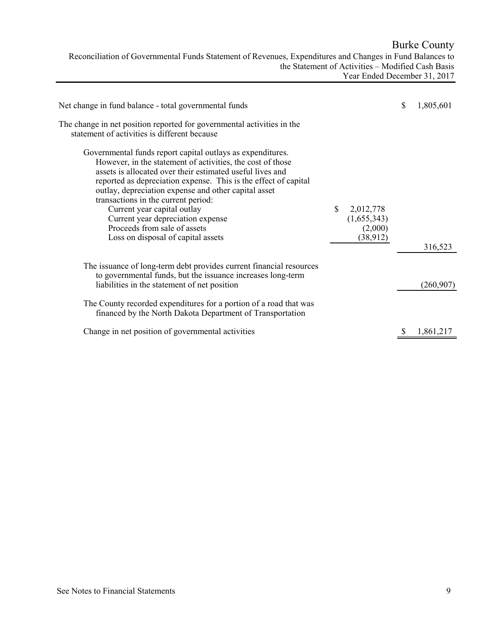Burke County

| Reconciliation of Governmental Funds Statement of Revenues, Expenditures and Changes in Fund Balances to |
|----------------------------------------------------------------------------------------------------------|
| the Statement of Activities – Modified Cash Basis                                                        |
| Year Ended December 31, 2017                                                                             |

| Net change in fund balance - total governmental funds                                                                                                                                                                                                                                                                                                                                                                                                                                             |                                                        | 1,805,601  |
|---------------------------------------------------------------------------------------------------------------------------------------------------------------------------------------------------------------------------------------------------------------------------------------------------------------------------------------------------------------------------------------------------------------------------------------------------------------------------------------------------|--------------------------------------------------------|------------|
| The change in net position reported for governmental activities in the<br>statement of activities is different because                                                                                                                                                                                                                                                                                                                                                                            |                                                        |            |
| Governmental funds report capital outlays as expenditures.<br>However, in the statement of activities, the cost of those<br>assets is allocated over their estimated useful lives and<br>reported as depreciation expense. This is the effect of capital<br>outlay, depreciation expense and other capital asset<br>transactions in the current period:<br>Current year capital outlay<br>Current year depreciation expense<br>Proceeds from sale of assets<br>Loss on disposal of capital assets | \$<br>2,012,778<br>(1,655,343)<br>(2,000)<br>(38, 912) | 316,523    |
| The issuance of long-term debt provides current financial resources<br>to governmental funds, but the issuance increases long-term<br>liabilities in the statement of net position                                                                                                                                                                                                                                                                                                                |                                                        | (260, 907) |
| The County recorded expenditures for a portion of a road that was<br>financed by the North Dakota Department of Transportation                                                                                                                                                                                                                                                                                                                                                                    |                                                        |            |
| Change in net position of governmental activities                                                                                                                                                                                                                                                                                                                                                                                                                                                 |                                                        | 1,861,217  |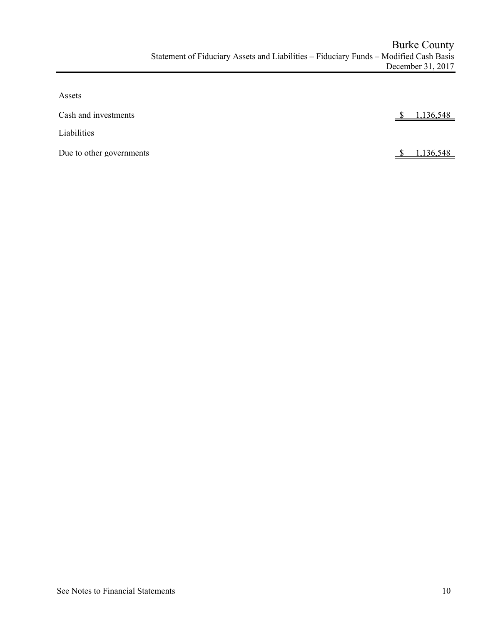| Assets                   |    |           |
|--------------------------|----|-----------|
| Cash and investments     |    | 1,136,548 |
| Liabilities              |    |           |
| Due to other governments | -S | 1,136,548 |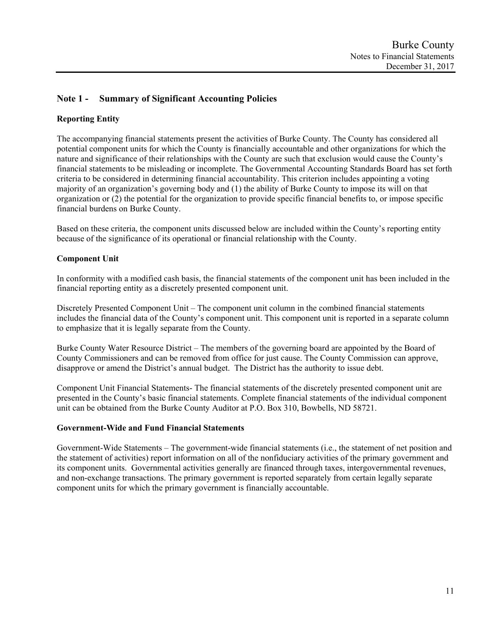# **Note 1 - Summary of Significant Accounting Policies**

### **Reporting Entity**

The accompanying financial statements present the activities of Burke County. The County has considered all potential component units for which the County is financially accountable and other organizations for which the nature and significance of their relationships with the County are such that exclusion would cause the County's financial statements to be misleading or incomplete. The Governmental Accounting Standards Board has set forth criteria to be considered in determining financial accountability. This criterion includes appointing a voting majority of an organization's governing body and (1) the ability of Burke County to impose its will on that organization or (2) the potential for the organization to provide specific financial benefits to, or impose specific financial burdens on Burke County.

Based on these criteria, the component units discussed below are included within the County's reporting entity because of the significance of its operational or financial relationship with the County.

## **Component Unit**

In conformity with a modified cash basis, the financial statements of the component unit has been included in the financial reporting entity as a discretely presented component unit.

Discretely Presented Component Unit – The component unit column in the combined financial statements includes the financial data of the County's component unit. This component unit is reported in a separate column to emphasize that it is legally separate from the County.

Burke County Water Resource District – The members of the governing board are appointed by the Board of County Commissioners and can be removed from office for just cause. The County Commission can approve, disapprove or amend the District's annual budget. The District has the authority to issue debt.

Component Unit Financial Statements- The financial statements of the discretely presented component unit are presented in the County's basic financial statements. Complete financial statements of the individual component unit can be obtained from the Burke County Auditor at P.O. Box 310, Bowbells, ND 58721.

### **Government-Wide and Fund Financial Statements**

Government-Wide Statements – The government-wide financial statements (i.e., the statement of net position and the statement of activities) report information on all of the nonfiduciary activities of the primary government and its component units. Governmental activities generally are financed through taxes, intergovernmental revenues, and non-exchange transactions. The primary government is reported separately from certain legally separate component units for which the primary government is financially accountable.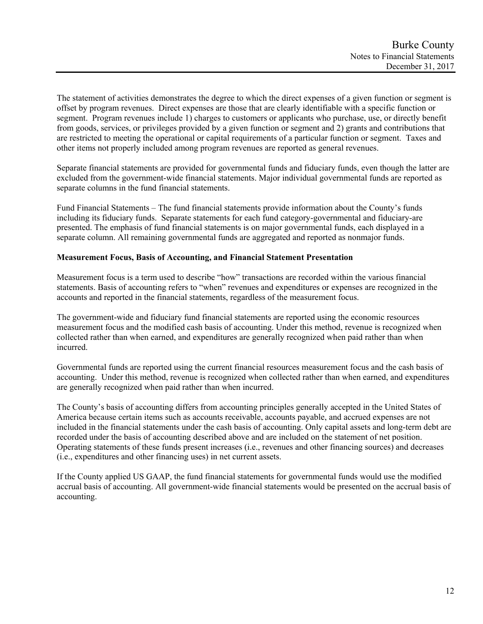The statement of activities demonstrates the degree to which the direct expenses of a given function or segment is offset by program revenues. Direct expenses are those that are clearly identifiable with a specific function or segment. Program revenues include 1) charges to customers or applicants who purchase, use, or directly benefit from goods, services, or privileges provided by a given function or segment and 2) grants and contributions that are restricted to meeting the operational or capital requirements of a particular function or segment. Taxes and other items not properly included among program revenues are reported as general revenues.

Separate financial statements are provided for governmental funds and fiduciary funds, even though the latter are excluded from the government-wide financial statements. Major individual governmental funds are reported as separate columns in the fund financial statements.

Fund Financial Statements – The fund financial statements provide information about the County's funds including its fiduciary funds. Separate statements for each fund category-governmental and fiduciary-are presented. The emphasis of fund financial statements is on major governmental funds, each displayed in a separate column. All remaining governmental funds are aggregated and reported as nonmajor funds.

### **Measurement Focus, Basis of Accounting, and Financial Statement Presentation**

Measurement focus is a term used to describe "how" transactions are recorded within the various financial statements. Basis of accounting refers to "when" revenues and expenditures or expenses are recognized in the accounts and reported in the financial statements, regardless of the measurement focus.

The government-wide and fiduciary fund financial statements are reported using the economic resources measurement focus and the modified cash basis of accounting. Under this method, revenue is recognized when collected rather than when earned, and expenditures are generally recognized when paid rather than when incurred.

Governmental funds are reported using the current financial resources measurement focus and the cash basis of accounting. Under this method, revenue is recognized when collected rather than when earned, and expenditures are generally recognized when paid rather than when incurred.

The County's basis of accounting differs from accounting principles generally accepted in the United States of America because certain items such as accounts receivable, accounts payable, and accrued expenses are not included in the financial statements under the cash basis of accounting. Only capital assets and long-term debt are recorded under the basis of accounting described above and are included on the statement of net position. Operating statements of these funds present increases (i.e., revenues and other financing sources) and decreases (i.e., expenditures and other financing uses) in net current assets.

If the County applied US GAAP, the fund financial statements for governmental funds would use the modified accrual basis of accounting. All government-wide financial statements would be presented on the accrual basis of accounting.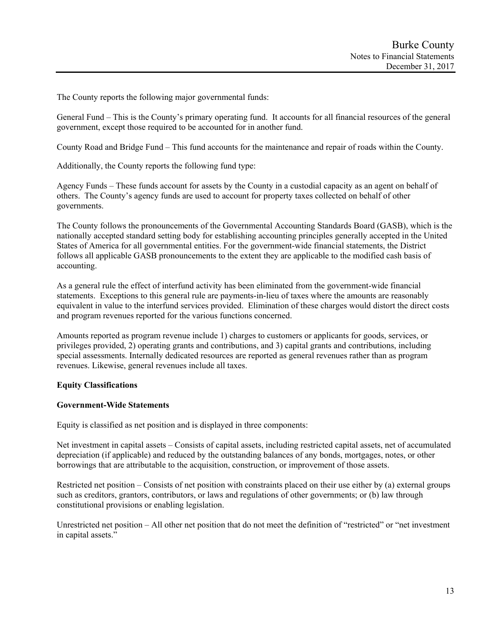The County reports the following major governmental funds:

General Fund – This is the County's primary operating fund. It accounts for all financial resources of the general government, except those required to be accounted for in another fund.

County Road and Bridge Fund – This fund accounts for the maintenance and repair of roads within the County.

Additionally, the County reports the following fund type:

Agency Funds – These funds account for assets by the County in a custodial capacity as an agent on behalf of others. The County's agency funds are used to account for property taxes collected on behalf of other governments.

The County follows the pronouncements of the Governmental Accounting Standards Board (GASB), which is the nationally accepted standard setting body for establishing accounting principles generally accepted in the United States of America for all governmental entities. For the government-wide financial statements, the District follows all applicable GASB pronouncements to the extent they are applicable to the modified cash basis of accounting.

As a general rule the effect of interfund activity has been eliminated from the government-wide financial statements. Exceptions to this general rule are payments-in-lieu of taxes where the amounts are reasonably equivalent in value to the interfund services provided. Elimination of these charges would distort the direct costs and program revenues reported for the various functions concerned.

Amounts reported as program revenue include 1) charges to customers or applicants for goods, services, or privileges provided, 2) operating grants and contributions, and 3) capital grants and contributions, including special assessments. Internally dedicated resources are reported as general revenues rather than as program revenues. Likewise, general revenues include all taxes.

### **Equity Classifications**

### **Government-Wide Statements**

Equity is classified as net position and is displayed in three components:

Net investment in capital assets – Consists of capital assets, including restricted capital assets, net of accumulated depreciation (if applicable) and reduced by the outstanding balances of any bonds, mortgages, notes, or other borrowings that are attributable to the acquisition, construction, or improvement of those assets.

Restricted net position – Consists of net position with constraints placed on their use either by (a) external groups such as creditors, grantors, contributors, or laws and regulations of other governments; or (b) law through constitutional provisions or enabling legislation.

Unrestricted net position – All other net position that do not meet the definition of "restricted" or "net investment in capital assets."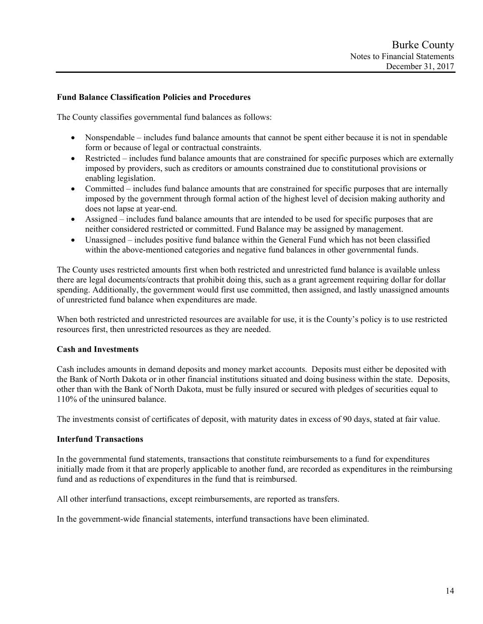### **Fund Balance Classification Policies and Procedures**

The County classifies governmental fund balances as follows:

- Nonspendable includes fund balance amounts that cannot be spent either because it is not in spendable form or because of legal or contractual constraints.
- Restricted includes fund balance amounts that are constrained for specific purposes which are externally imposed by providers, such as creditors or amounts constrained due to constitutional provisions or enabling legislation.
- Committed includes fund balance amounts that are constrained for specific purposes that are internally imposed by the government through formal action of the highest level of decision making authority and does not lapse at year-end.
- Assigned includes fund balance amounts that are intended to be used for specific purposes that are neither considered restricted or committed. Fund Balance may be assigned by management.
- Unassigned includes positive fund balance within the General Fund which has not been classified within the above-mentioned categories and negative fund balances in other governmental funds.

The County uses restricted amounts first when both restricted and unrestricted fund balance is available unless there are legal documents/contracts that prohibit doing this, such as a grant agreement requiring dollar for dollar spending. Additionally, the government would first use committed, then assigned, and lastly unassigned amounts of unrestricted fund balance when expenditures are made.

When both restricted and unrestricted resources are available for use, it is the County's policy is to use restricted resources first, then unrestricted resources as they are needed.

### **Cash and Investments**

Cash includes amounts in demand deposits and money market accounts. Deposits must either be deposited with the Bank of North Dakota or in other financial institutions situated and doing business within the state. Deposits, other than with the Bank of North Dakota, must be fully insured or secured with pledges of securities equal to 110% of the uninsured balance.

The investments consist of certificates of deposit, with maturity dates in excess of 90 days, stated at fair value.

### **Interfund Transactions**

In the governmental fund statements, transactions that constitute reimbursements to a fund for expenditures initially made from it that are properly applicable to another fund, are recorded as expenditures in the reimbursing fund and as reductions of expenditures in the fund that is reimbursed.

All other interfund transactions, except reimbursements, are reported as transfers.

In the government-wide financial statements, interfund transactions have been eliminated.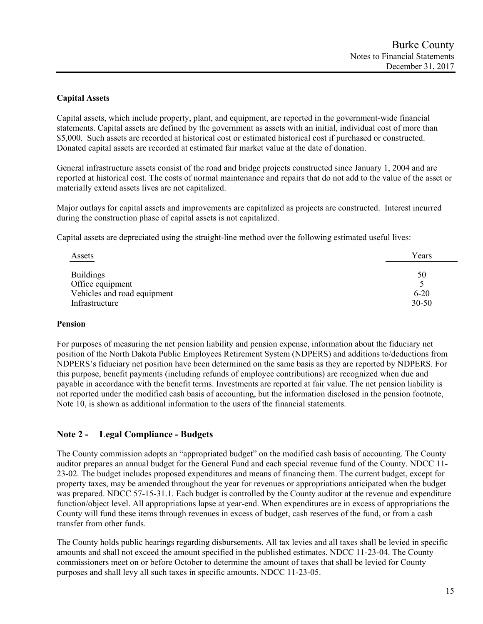## **Capital Assets**

Capital assets, which include property, plant, and equipment, are reported in the government-wide financial statements. Capital assets are defined by the government as assets with an initial, individual cost of more than \$5,000. Such assets are recorded at historical cost or estimated historical cost if purchased or constructed. Donated capital assets are recorded at estimated fair market value at the date of donation.

General infrastructure assets consist of the road and bridge projects constructed since January 1, 2004 and are reported at historical cost. The costs of normal maintenance and repairs that do not add to the value of the asset or materially extend assets lives are not capitalized.

Major outlays for capital assets and improvements are capitalized as projects are constructed. Interest incurred during the construction phase of capital assets is not capitalized.

Capital assets are depreciated using the straight-line method over the following estimated useful lives:

| Assets                                                                                | Years                       |
|---------------------------------------------------------------------------------------|-----------------------------|
| <b>Buildings</b><br>Office equipment<br>Vehicles and road equipment<br>Infrastructure | 50<br>$6 - 20$<br>$30 - 50$ |
|                                                                                       |                             |

### **Pension**

For purposes of measuring the net pension liability and pension expense, information about the fiduciary net position of the North Dakota Public Employees Retirement System (NDPERS) and additions to/deductions from NDPERS's fiduciary net position have been determined on the same basis as they are reported by NDPERS. For this purpose, benefit payments (including refunds of employee contributions) are recognized when due and payable in accordance with the benefit terms. Investments are reported at fair value. The net pension liability is not reported under the modified cash basis of accounting, but the information disclosed in the pension footnote, Note 10, is shown as additional information to the users of the financial statements.

## **Note 2 - Legal Compliance - Budgets**

The County commission adopts an "appropriated budget" on the modified cash basis of accounting. The County auditor prepares an annual budget for the General Fund and each special revenue fund of the County. NDCC 11- 23-02. The budget includes proposed expenditures and means of financing them. The current budget, except for property taxes, may be amended throughout the year for revenues or appropriations anticipated when the budget was prepared. NDCC 57-15-31.1. Each budget is controlled by the County auditor at the revenue and expenditure function/object level. All appropriations lapse at year-end. When expenditures are in excess of appropriations the County will fund these items through revenues in excess of budget, cash reserves of the fund, or from a cash transfer from other funds.

The County holds public hearings regarding disbursements. All tax levies and all taxes shall be levied in specific amounts and shall not exceed the amount specified in the published estimates. NDCC 11-23-04. The County commissioners meet on or before October to determine the amount of taxes that shall be levied for County purposes and shall levy all such taxes in specific amounts. NDCC 11-23-05.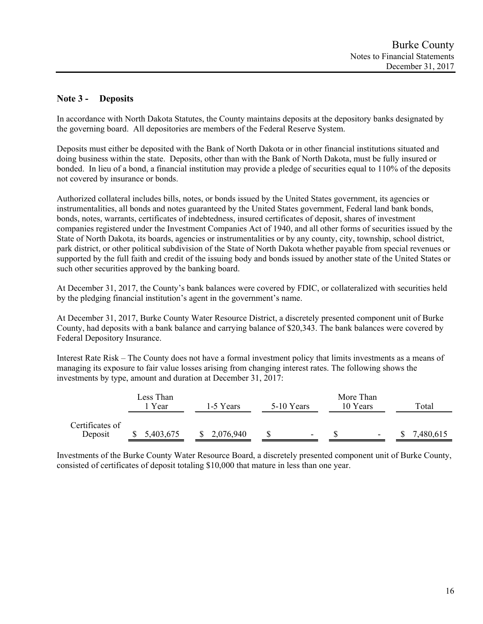## **Note 3 - Deposits**

In accordance with North Dakota Statutes, the County maintains deposits at the depository banks designated by the governing board. All depositories are members of the Federal Reserve System.

Deposits must either be deposited with the Bank of North Dakota or in other financial institutions situated and doing business within the state. Deposits, other than with the Bank of North Dakota, must be fully insured or bonded. In lieu of a bond, a financial institution may provide a pledge of securities equal to 110% of the deposits not covered by insurance or bonds.

Authorized collateral includes bills, notes, or bonds issued by the United States government, its agencies or instrumentalities, all bonds and notes guaranteed by the United States government, Federal land bank bonds, bonds, notes, warrants, certificates of indebtedness, insured certificates of deposit, shares of investment companies registered under the Investment Companies Act of 1940, and all other forms of securities issued by the State of North Dakota, its boards, agencies or instrumentalities or by any county, city, township, school district, park district, or other political subdivision of the State of North Dakota whether payable from special revenues or supported by the full faith and credit of the issuing body and bonds issued by another state of the United States or such other securities approved by the banking board.

At December 31, 2017, the County's bank balances were covered by FDIC, or collateralized with securities held by the pledging financial institution's agent in the government's name.

At December 31, 2017, Burke County Water Resource District, a discretely presented component unit of Burke County, had deposits with a bank balance and carrying balance of \$20,343. The bank balances were covered by Federal Depository Insurance.

Interest Rate Risk – The County does not have a formal investment policy that limits investments as a means of managing its exposure to fair value losses arising from changing interest rates. The following shows the investments by type, amount and duration at December 31, 2017:

|                            | Less Than<br>1 Year | 1-5 Years | 5-10 Years |                          |  | More Than<br>10 Years |                          |  | Total |           |
|----------------------------|---------------------|-----------|------------|--------------------------|--|-----------------------|--------------------------|--|-------|-----------|
| Certificates of<br>Deposit | 5,403,675           | 2,076,940 |            | $\overline{\phantom{a}}$ |  |                       | $\overline{\phantom{a}}$ |  |       | 7,480,615 |

Investments of the Burke County Water Resource Board, a discretely presented component unit of Burke County, consisted of certificates of deposit totaling \$10,000 that mature in less than one year.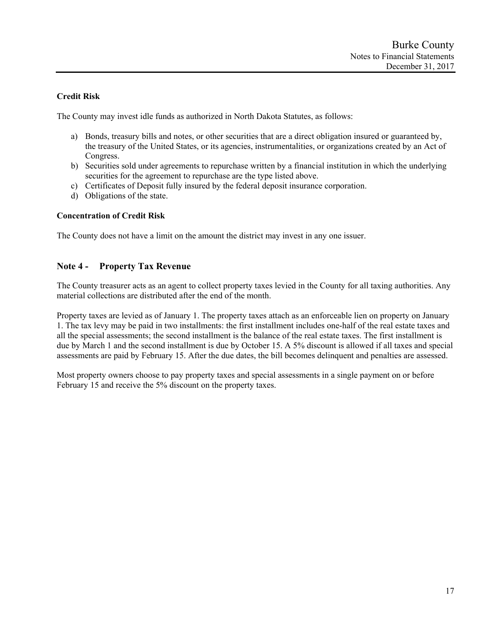## **Credit Risk**

The County may invest idle funds as authorized in North Dakota Statutes, as follows:

- a) Bonds, treasury bills and notes, or other securities that are a direct obligation insured or guaranteed by, the treasury of the United States, or its agencies, instrumentalities, or organizations created by an Act of Congress.
- b) Securities sold under agreements to repurchase written by a financial institution in which the underlying securities for the agreement to repurchase are the type listed above.
- c) Certificates of Deposit fully insured by the federal deposit insurance corporation.
- d) Obligations of the state.

#### **Concentration of Credit Risk**

The County does not have a limit on the amount the district may invest in any one issuer.

## **Note 4 - Property Tax Revenue**

The County treasurer acts as an agent to collect property taxes levied in the County for all taxing authorities. Any material collections are distributed after the end of the month.

Property taxes are levied as of January 1. The property taxes attach as an enforceable lien on property on January 1. The tax levy may be paid in two installments: the first installment includes one-half of the real estate taxes and all the special assessments; the second installment is the balance of the real estate taxes. The first installment is due by March 1 and the second installment is due by October 15. A 5% discount is allowed if all taxes and special assessments are paid by February 15. After the due dates, the bill becomes delinquent and penalties are assessed.

Most property owners choose to pay property taxes and special assessments in a single payment on or before February 15 and receive the 5% discount on the property taxes.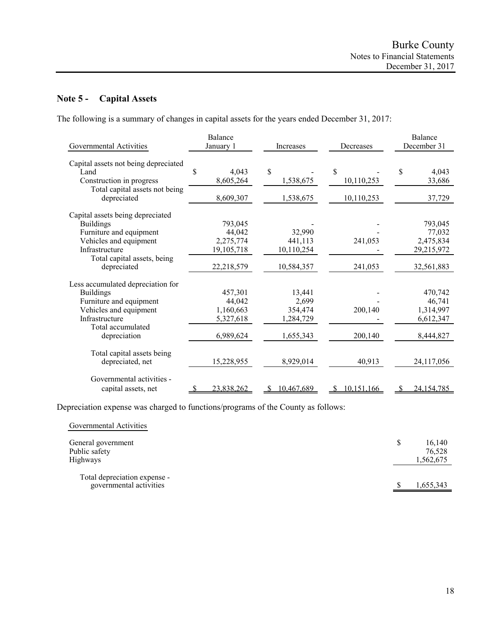# **Note 5 - Capital Assets**

The following is a summary of changes in capital assets for the years ended December 31, 2017:

| Governmental Activities                          | Balance<br>January 1 | Increases                   | Decreases        | Balance<br>December 31        |
|--------------------------------------------------|----------------------|-----------------------------|------------------|-------------------------------|
| Capital assets not being depreciated             |                      |                             |                  |                               |
| Land                                             | \$<br>4,043          | \$                          | \$               | \$<br>4,043                   |
| Construction in progress                         | 8,605,264            | 1,538,675                   | 10,110,253       | 33,686                        |
| Total capital assets not being                   |                      |                             |                  |                               |
| depreciated                                      | 8,609,307            | 1,538,675                   | 10,110,253       | 37,729                        |
| Capital assets being depreciated                 |                      |                             |                  |                               |
| <b>Buildings</b>                                 | 793,045              |                             |                  | 793,045                       |
| Furniture and equipment                          | 44,042               | 32,990                      |                  | 77,032                        |
| Vehicles and equipment                           | 2,275,774            | 441,113                     | 241,053          | 2,475,834                     |
| Infrastructure                                   | 19,105,718           | 10,110,254                  |                  | 29,215,972                    |
| Total capital assets, being                      |                      |                             |                  |                               |
| depreciated                                      | 22,218,579           | 10,584,357                  | 241,053          | 32,561,883                    |
| Less accumulated depreciation for                |                      |                             |                  |                               |
| <b>Buildings</b>                                 | 457,301              | 13,441                      |                  | 470,742                       |
| Furniture and equipment                          | 44,042               | 2,699                       |                  | 46,741                        |
| Vehicles and equipment                           | 1,160,663            | 354,474                     | 200,140          | 1,314,997                     |
| Infrastructure                                   | 5,327,618            | 1,284,729                   |                  | 6,612,347                     |
| Total accumulated                                |                      |                             |                  |                               |
| depreciation                                     | 6,989,624            | 1,655,343                   | 200,140          | 8,444,827                     |
| Total capital assets being                       |                      |                             |                  |                               |
| depreciated, net                                 | 15,228,955           | 8,929,014                   | 40,913           | 24,117,056                    |
|                                                  |                      |                             |                  |                               |
| Governmental activities -<br>capital assets, net | 23,838,262           | 10,467,689<br><sup>\$</sup> | 10,151,166<br>-S | 24, 154, 785<br><sup>\$</sup> |

Depreciation expense was charged to functions/programs of the County as follows:

| Governmental Activities                                 |                                     |
|---------------------------------------------------------|-------------------------------------|
| General government<br>Public safety<br>Highways         | \$<br>16,140<br>76,528<br>1,562,675 |
| Total depreciation expense -<br>governmental activities | 1,655,343                           |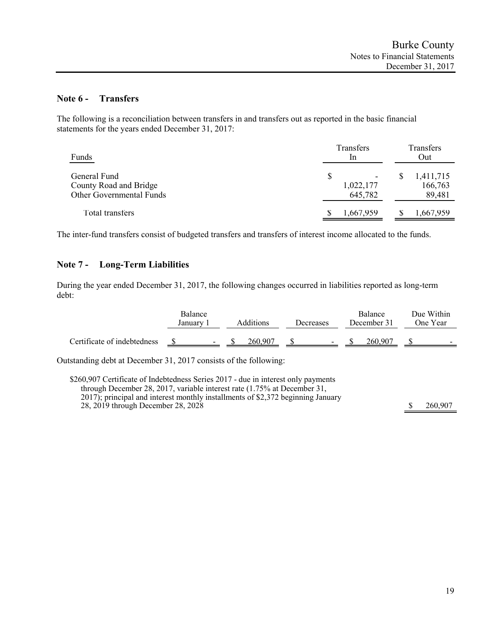## **Note 6 - Transfers**

The following is a reconciliation between transfers in and transfers out as reported in the basic financial statements for the years ended December 31, 2017:

| Funds                                                              | Transfers<br><sup>In</sup>     | Transfers<br>Out               |
|--------------------------------------------------------------------|--------------------------------|--------------------------------|
| General Fund<br>County Road and Bridge<br>Other Governmental Funds | S<br>-<br>1,022,177<br>645,782 | 1,411,715<br>166,763<br>89,481 |
| Total transfers                                                    | 1,667,959                      | 1,667,959                      |

The inter-fund transfers consist of budgeted transfers and transfers of interest income allocated to the funds.

## **Note 7 - Long-Term Liabilities**

During the year ended December 31, 2017, the following changes occurred in liabilities reported as long-term debt:

|                             | Balance                  | Additions |                          | <b>Balance</b> | Due Within               |
|-----------------------------|--------------------------|-----------|--------------------------|----------------|--------------------------|
|                             | January                  | Decreases |                          | December 31    | One Year                 |
| Certificate of indebtedness | $\overline{\phantom{0}}$ | 260.907   | $\overline{\phantom{a}}$ | 260.907        | $\overline{\phantom{0}}$ |

Outstanding debt at December 31, 2017 consists of the following:

\$260,907 Certificate of Indebtedness Series 2017 - due in interest only payments through December 28, 2017, variable interest rate (1.75% at December 31, 2017); principal and interest monthly installments of \$2,372 beginning January 28, 2019 through December 28, 2028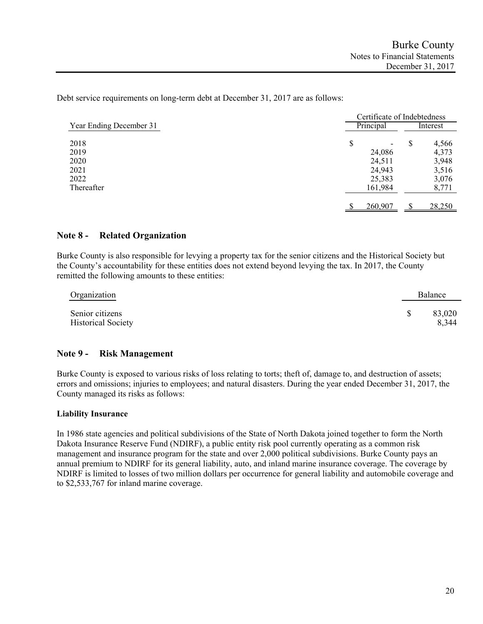Debt service requirements on long-term debt at December 31, 2017 are as follows:

|                         |           | Certificate of Indebtedness |          |        |
|-------------------------|-----------|-----------------------------|----------|--------|
| Year Ending December 31 | Principal |                             | Interest |        |
| 2018                    | \$        |                             | \$       | 4,566  |
| 2019                    |           | 24,086                      |          | 4,373  |
| 2020                    |           | 24,511                      |          | 3,948  |
| 2021                    |           | 24,943                      |          | 3,516  |
| 2022                    |           | 25,383                      |          | 3,076  |
| Thereafter              |           | 161,984                     |          | 8,771  |
|                         |           |                             |          |        |
|                         |           | 260,907                     |          | 28,250 |

## **Note 8 - Related Organization**

Burke County is also responsible for levying a property tax for the senior citizens and the Historical Society but the County's accountability for these entities does not extend beyond levying the tax. In 2017, the County remitted the following amounts to these entities:

| Organization                                 | Balance |                 |
|----------------------------------------------|---------|-----------------|
| Senior citizens<br><b>Historical Society</b> |         | 83,020<br>8.344 |

## **Note 9 - Risk Management**

Burke County is exposed to various risks of loss relating to torts; theft of, damage to, and destruction of assets; errors and omissions; injuries to employees; and natural disasters. During the year ended December 31, 2017, the County managed its risks as follows:

### **Liability Insurance**

In 1986 state agencies and political subdivisions of the State of North Dakota joined together to form the North Dakota Insurance Reserve Fund (NDIRF), a public entity risk pool currently operating as a common risk management and insurance program for the state and over 2,000 political subdivisions. Burke County pays an annual premium to NDIRF for its general liability, auto, and inland marine insurance coverage. The coverage by NDIRF is limited to losses of two million dollars per occurrence for general liability and automobile coverage and to \$2,533,767 for inland marine coverage.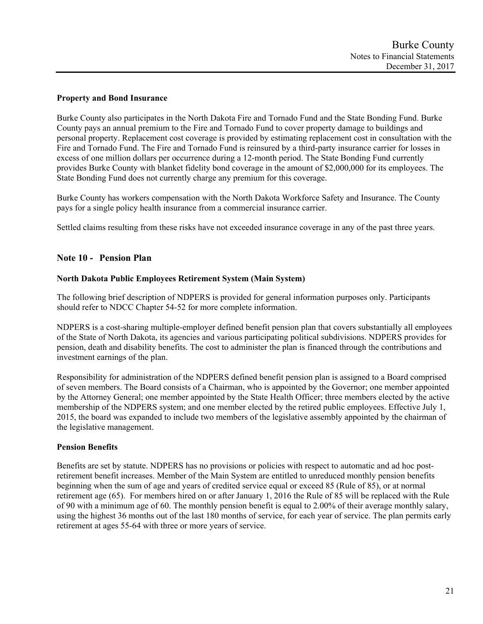#### **Property and Bond Insurance**

Burke County also participates in the North Dakota Fire and Tornado Fund and the State Bonding Fund. Burke County pays an annual premium to the Fire and Tornado Fund to cover property damage to buildings and personal property. Replacement cost coverage is provided by estimating replacement cost in consultation with the Fire and Tornado Fund. The Fire and Tornado Fund is reinsured by a third-party insurance carrier for losses in excess of one million dollars per occurrence during a 12-month period. The State Bonding Fund currently provides Burke County with blanket fidelity bond coverage in the amount of \$2,000,000 for its employees. The State Bonding Fund does not currently charge any premium for this coverage.

Burke County has workers compensation with the North Dakota Workforce Safety and Insurance. The County pays for a single policy health insurance from a commercial insurance carrier.

Settled claims resulting from these risks have not exceeded insurance coverage in any of the past three years.

## **Note 10 - Pension Plan**

#### **North Dakota Public Employees Retirement System (Main System)**

The following brief description of NDPERS is provided for general information purposes only. Participants should refer to NDCC Chapter 54-52 for more complete information.

NDPERS is a cost-sharing multiple-employer defined benefit pension plan that covers substantially all employees of the State of North Dakota, its agencies and various participating political subdivisions. NDPERS provides for pension, death and disability benefits. The cost to administer the plan is financed through the contributions and investment earnings of the plan.

Responsibility for administration of the NDPERS defined benefit pension plan is assigned to a Board comprised of seven members. The Board consists of a Chairman, who is appointed by the Governor; one member appointed by the Attorney General; one member appointed by the State Health Officer; three members elected by the active membership of the NDPERS system; and one member elected by the retired public employees. Effective July 1, 2015, the board was expanded to include two members of the legislative assembly appointed by the chairman of the legislative management.

### **Pension Benefits**

Benefits are set by statute. NDPERS has no provisions or policies with respect to automatic and ad hoc postretirement benefit increases. Member of the Main System are entitled to unreduced monthly pension benefits beginning when the sum of age and years of credited service equal or exceed 85 (Rule of 85), or at normal retirement age (65). For members hired on or after January 1, 2016 the Rule of 85 will be replaced with the Rule of 90 with a minimum age of 60. The monthly pension benefit is equal to 2.00% of their average monthly salary, using the highest 36 months out of the last 180 months of service, for each year of service. The plan permits early retirement at ages 55-64 with three or more years of service.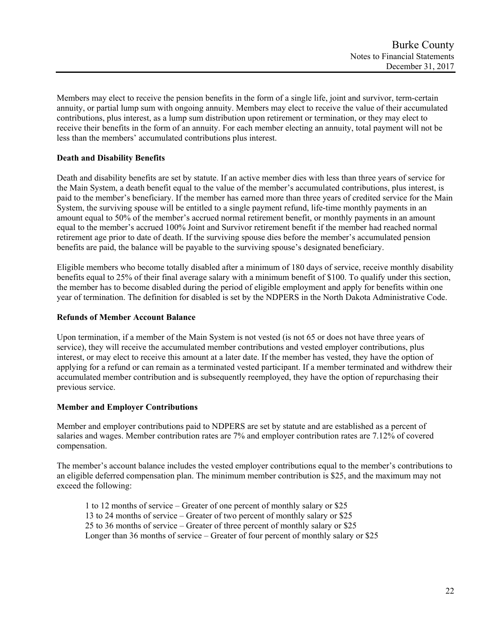Members may elect to receive the pension benefits in the form of a single life, joint and survivor, term-certain annuity, or partial lump sum with ongoing annuity. Members may elect to receive the value of their accumulated contributions, plus interest, as a lump sum distribution upon retirement or termination, or they may elect to receive their benefits in the form of an annuity. For each member electing an annuity, total payment will not be less than the members' accumulated contributions plus interest.

## **Death and Disability Benefits**

Death and disability benefits are set by statute. If an active member dies with less than three years of service for the Main System, a death benefit equal to the value of the member's accumulated contributions, plus interest, is paid to the member's beneficiary. If the member has earned more than three years of credited service for the Main System, the surviving spouse will be entitled to a single payment refund, life-time monthly payments in an amount equal to 50% of the member's accrued normal retirement benefit, or monthly payments in an amount equal to the member's accrued 100% Joint and Survivor retirement benefit if the member had reached normal retirement age prior to date of death. If the surviving spouse dies before the member's accumulated pension benefits are paid, the balance will be payable to the surviving spouse's designated beneficiary.

Eligible members who become totally disabled after a minimum of 180 days of service, receive monthly disability benefits equal to 25% of their final average salary with a minimum benefit of \$100. To qualify under this section, the member has to become disabled during the period of eligible employment and apply for benefits within one year of termination. The definition for disabled is set by the NDPERS in the North Dakota Administrative Code.

### **Refunds of Member Account Balance**

Upon termination, if a member of the Main System is not vested (is not 65 or does not have three years of service), they will receive the accumulated member contributions and vested employer contributions, plus interest, or may elect to receive this amount at a later date. If the member has vested, they have the option of applying for a refund or can remain as a terminated vested participant. If a member terminated and withdrew their accumulated member contribution and is subsequently reemployed, they have the option of repurchasing their previous service.

### **Member and Employer Contributions**

Member and employer contributions paid to NDPERS are set by statute and are established as a percent of salaries and wages. Member contribution rates are 7% and employer contribution rates are 7.12% of covered compensation.

The member's account balance includes the vested employer contributions equal to the member's contributions to an eligible deferred compensation plan. The minimum member contribution is \$25, and the maximum may not exceed the following:

 1 to 12 months of service – Greater of one percent of monthly salary or \$25 13 to 24 months of service – Greater of two percent of monthly salary or \$25 25 to 36 months of service – Greater of three percent of monthly salary or \$25 Longer than 36 months of service – Greater of four percent of monthly salary or \$25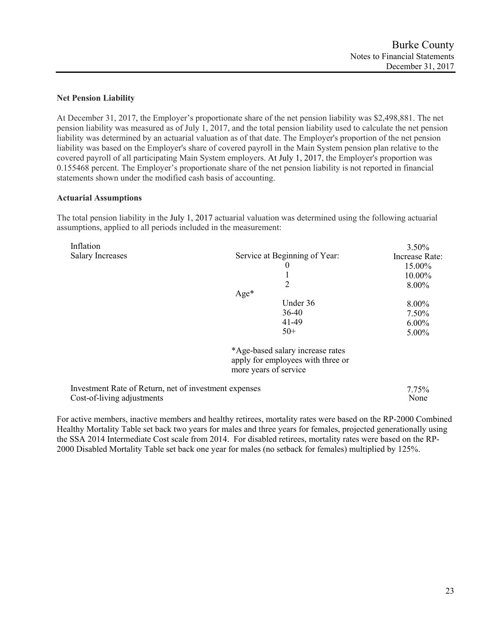## **Net Pension Liability**

At December 31, 2017, the Employer's proportionate share of the net pension liability was \$2,498,881. The net pension liability was measured as of July 1, 2017, and the total pension liability used to calculate the net pension liability was determined by an actuarial valuation as of that date. The Employer's proportion of the net pension liability was based on the Employer's share of covered payroll in the Main System pension plan relative to the covered payroll of all participating Main System employers. At July 1, 2017, the Employer's proportion was 0.155468 percent. The Employer's proportionate share of the net pension liability is not reported in financial statements shown under the modified cash basis of accounting.

### **Actuarial Assumptions**

The total pension liability in the July 1, 2017 actuarial valuation was determined using the following actuarial assumptions, applied to all periods included in the measurement:

| Inflation                                                                           |                                                                                                | $3.50\%$       |
|-------------------------------------------------------------------------------------|------------------------------------------------------------------------------------------------|----------------|
| <b>Salary Increases</b>                                                             | Service at Beginning of Year:                                                                  | Increase Rate: |
|                                                                                     |                                                                                                | 15.00%         |
|                                                                                     |                                                                                                | 10.00%         |
|                                                                                     | 2                                                                                              | $8.00\%$       |
|                                                                                     | Age*                                                                                           |                |
|                                                                                     | Under 36                                                                                       | $8.00\%$       |
|                                                                                     | 36-40                                                                                          | 7.50%          |
|                                                                                     | 41-49                                                                                          | $6.00\%$       |
|                                                                                     | $50+$                                                                                          | 5.00%          |
|                                                                                     | *Age-based salary increase rates<br>apply for employees with three or<br>more years of service |                |
|                                                                                     |                                                                                                |                |
| Investment Rate of Return, net of investment expenses<br>Cost-of-living adjustments |                                                                                                | 7.75%<br>None  |
|                                                                                     |                                                                                                |                |

For active members, inactive members and healthy retirees, mortality rates were based on the RP-2000 Combined Healthy Mortality Table set back two years for males and three years for females, projected generationally using the SSA 2014 Intermediate Cost scale from 2014. For disabled retirees, mortality rates were based on the RP-2000 Disabled Mortality Table set back one year for males (no setback for females) multiplied by 125%.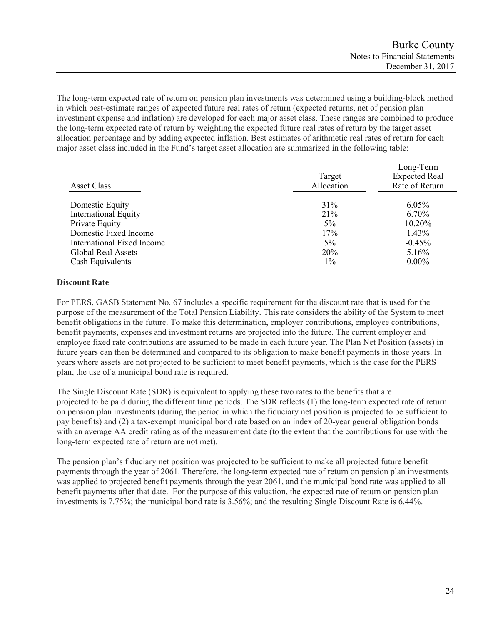The long-term expected rate of return on pension plan investments was determined using a building-block method in which best-estimate ranges of expected future real rates of return (expected returns, net of pension plan investment expense and inflation) are developed for each major asset class. These ranges are combined to produce the long-term expected rate of return by weighting the expected future real rates of return by the target asset allocation percentage and by adding expected inflation. Best estimates of arithmetic real rates of return for each major asset class included in the Fund's target asset allocation are summarized in the following table:

|                             |            | Long-Term            |
|-----------------------------|------------|----------------------|
|                             | Target     | <b>Expected Real</b> |
| Asset Class                 | Allocation | Rate of Return       |
| Domestic Equity             | 31%        | 6.05%                |
| <b>International Equity</b> | 21%        | 6.70%                |
| Private Equity              | $5\%$      | 10.20%               |
| Domestic Fixed Income       | 17%        | 1.43%                |
| International Fixed Income  | $5\%$      | $-0.45%$             |
| Global Real Assets          | 20%        | 5.16%                |
| Cash Equivalents            | $1\%$      | $0.00\%$             |

## **Discount Rate**

For PERS, GASB Statement No. 67 includes a specific requirement for the discount rate that is used for the purpose of the measurement of the Total Pension Liability. This rate considers the ability of the System to meet benefit obligations in the future. To make this determination, employer contributions, employee contributions, benefit payments, expenses and investment returns are projected into the future. The current employer and employee fixed rate contributions are assumed to be made in each future year. The Plan Net Position (assets) in future years can then be determined and compared to its obligation to make benefit payments in those years. In years where assets are not projected to be sufficient to meet benefit payments, which is the case for the PERS plan, the use of a municipal bond rate is required.

The Single Discount Rate (SDR) is equivalent to applying these two rates to the benefits that are projected to be paid during the different time periods. The SDR reflects (1) the long-term expected rate of return on pension plan investments (during the period in which the fiduciary net position is projected to be sufficient to pay benefits) and (2) a tax-exempt municipal bond rate based on an index of 20-year general obligation bonds with an average AA credit rating as of the measurement date (to the extent that the contributions for use with the long-term expected rate of return are not met).

The pension plan's fiduciary net position was projected to be sufficient to make all projected future benefit payments through the year of 2061. Therefore, the long-term expected rate of return on pension plan investments was applied to projected benefit payments through the year 2061, and the municipal bond rate was applied to all benefit payments after that date. For the purpose of this valuation, the expected rate of return on pension plan investments is 7.75%; the municipal bond rate is 3.56%; and the resulting Single Discount Rate is 6.44%.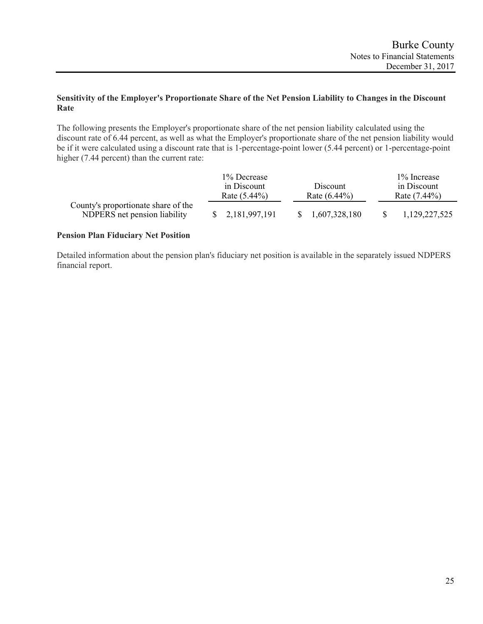## **Sensitivity of the Employer's Proportionate Share of the Net Pension Liability to Changes in the Discount Rate**

The following presents the Employer's proportionate share of the net pension liability calculated using the discount rate of 6.44 percent, as well as what the Employer's proportionate share of the net pension liability would be if it were calculated using a discount rate that is 1-percentage-point lower (5.44 percent) or 1-percentage-point higher (7.44 percent) than the current rate:

|                                                                     | 1\% Decrease<br>in Discount<br>Rate $(5.44\%)$ | Discount<br>Rate $(6.44\%)$   | 1\% Increase<br>in Discount<br>Rate (7.44%) |
|---------------------------------------------------------------------|------------------------------------------------|-------------------------------|---------------------------------------------|
| County's proportionate share of the<br>NDPERS net pension liability | \$2,181,997,191                                | 1,607,328,180<br><sup>S</sup> | 1,129,227,525                               |

### **Pension Plan Fiduciary Net Position**

Detailed information about the pension plan's fiduciary net position is available in the separately issued NDPERS financial report.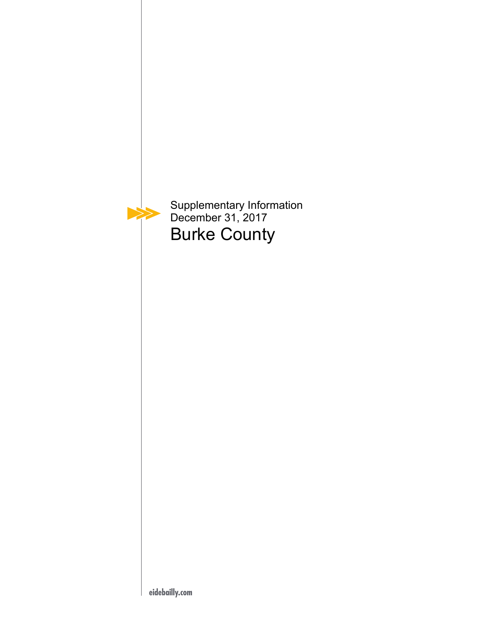

Supplementary Information December 31, 2017 Burke County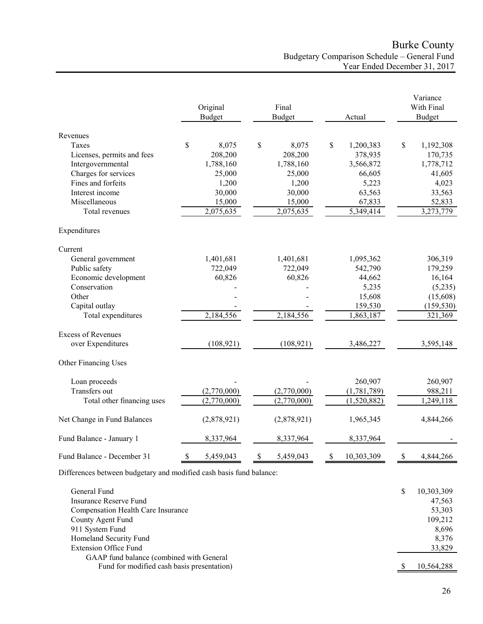# Burke County Budgetary Comparison Schedule – General Fund Year Ended December 31, 2017

|                                                                                                                                         | Original<br>Budget                                               | Final<br>Budget                                                           | Actual                                                                    | Variance<br>With Final<br>Budget                                             |
|-----------------------------------------------------------------------------------------------------------------------------------------|------------------------------------------------------------------|---------------------------------------------------------------------------|---------------------------------------------------------------------------|------------------------------------------------------------------------------|
| Revenues<br>Taxes<br>Licenses, permits and fees<br>Intergovernmental<br>Charges for services<br>Fines and forfeits<br>Interest income   | \$<br>8,075<br>208,200<br>1,788,160<br>25,000<br>1,200<br>30,000 | $\mathbf S$<br>8,075<br>208,200<br>1,788,160<br>25,000<br>1,200<br>30,000 | \$<br>1,200,383<br>378,935<br>3,566,872<br>66,605<br>5,223<br>63,563      | \$<br>1,192,308<br>170,735<br>1,778,712<br>41,605<br>4,023<br>33,563         |
| Miscellaneous<br>Total revenues                                                                                                         | 15,000<br>2,075,635                                              | 15,000<br>2,075,635                                                       | 67,833<br>$\overline{5,}349,414$                                          | 52,833<br>3,273,779                                                          |
| Expenditures                                                                                                                            |                                                                  |                                                                           |                                                                           |                                                                              |
| Current<br>General government<br>Public safety<br>Economic development<br>Conservation<br>Other<br>Capital outlay<br>Total expenditures | 1,401,681<br>722,049<br>60,826<br>2,184,556                      | 1,401,681<br>722,049<br>60,826<br>2,184,556                               | 1,095,362<br>542,790<br>44,662<br>5,235<br>15,608<br>159,530<br>1,863,187 | 306,319<br>179,259<br>16,164<br>(5,235)<br>(15,608)<br>(159, 530)<br>321,369 |
| <b>Excess of Revenues</b><br>over Expenditures                                                                                          | (108, 921)                                                       | (108, 921)                                                                | 3,486,227                                                                 | 3,595,148                                                                    |
| Other Financing Uses                                                                                                                    |                                                                  |                                                                           |                                                                           |                                                                              |
| Loan proceeds<br>Transfers out<br>Total other financing uses                                                                            | (2,770,000)<br>(2,770,000)                                       | (2,770,000)<br>(2,770,000)                                                | 260,907<br>(1,781,789)<br>(1,520,882)                                     | 260,907<br>988,211<br>1,249,118                                              |
| Net Change in Fund Balances                                                                                                             | (2,878,921)                                                      | (2,878,921)                                                               | 1,965,345                                                                 | 4,844,266                                                                    |
| Fund Balance - January 1                                                                                                                | 8,337,964                                                        | 8,337,964                                                                 | 8,337,964                                                                 |                                                                              |
| Fund Balance - December 31                                                                                                              | $\boldsymbol{\mathsf{S}}$<br>5,459,043                           | $\mathcal{S}$<br>5,459,043                                                | \$<br>10,303,309                                                          | $\mathcal{S}$<br>4,844,266                                                   |

Differences between budgetary and modified cash basis fund balance:

| General Fund                               | \$<br>10,303,309 |
|--------------------------------------------|------------------|
| <b>Insurance Reserve Fund</b>              | 47,563           |
| Compensation Health Care Insurance         | 53,303           |
| County Agent Fund                          | 109,212          |
| 911 System Fund                            | 8,696            |
| Homeland Security Fund                     | 8,376            |
| <b>Extension Office Fund</b>               | 33,829           |
| GAAP fund balance (combined with General   |                  |
| Fund for modified cash basis presentation) | 10,564,288       |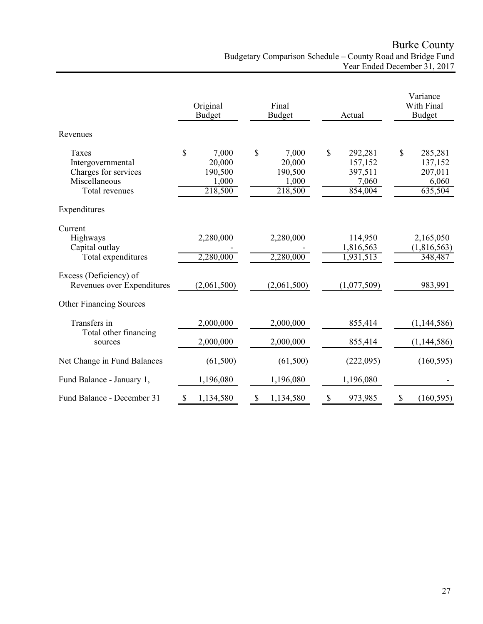Burke County Budgetary Comparison Schedule – County Road and Bridge Fund Year Ended December 31, 2017

|                                                                                       | Original<br><b>Budget</b>                            | Final<br><b>Budget</b>                               | Actual                                                           | Variance<br>With Final<br><b>Budget</b>                 |
|---------------------------------------------------------------------------------------|------------------------------------------------------|------------------------------------------------------|------------------------------------------------------------------|---------------------------------------------------------|
| Revenues                                                                              |                                                      |                                                      |                                                                  |                                                         |
| Taxes<br>Intergovernmental<br>Charges for services<br>Miscellaneous<br>Total revenues | \$<br>7,000<br>20,000<br>190,500<br>1,000<br>218,500 | \$<br>7,000<br>20,000<br>190,500<br>1,000<br>218,500 | $\mathbf S$<br>292,281<br>157,152<br>397,511<br>7,060<br>854,004 | \$<br>285,281<br>137,152<br>207,011<br>6,060<br>635,504 |
| Expenditures                                                                          |                                                      |                                                      |                                                                  |                                                         |
| Current<br>Highways<br>Capital outlay<br>Total expenditures<br>Excess (Deficiency) of | 2,280,000<br>2,280,000                               | 2,280,000<br>2,280,000                               | 114,950<br>1,816,563<br>1,931,513                                | 2,165,050<br>(1,816,563)<br>348,487                     |
| Revenues over Expenditures                                                            | (2,061,500)                                          | (2,061,500)                                          | (1,077,509)                                                      | 983,991                                                 |
| <b>Other Financing Sources</b>                                                        |                                                      |                                                      |                                                                  |                                                         |
| Transfers in                                                                          | 2,000,000                                            | 2,000,000                                            | 855,414                                                          | (1, 144, 586)                                           |
| Total other financing<br>sources                                                      | 2,000,000                                            | 2,000,000                                            | 855,414                                                          | (1, 144, 586)                                           |
| Net Change in Fund Balances                                                           | (61,500)                                             | (61,500)                                             | (222,095)                                                        | (160, 595)                                              |
| Fund Balance - January 1,                                                             | 1,196,080                                            | 1,196,080                                            | 1,196,080                                                        |                                                         |
| Fund Balance - December 31                                                            | \$<br>1,134,580                                      | \$<br>1,134,580                                      | \$<br>973,985                                                    | \$<br>(160, 595)                                        |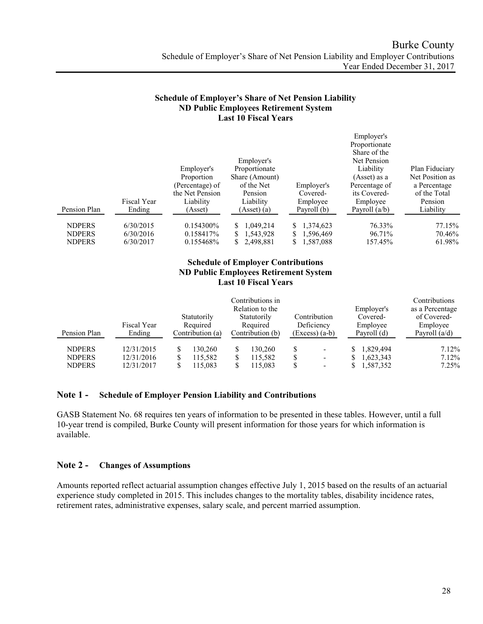Employer's

### **Schedule of Employer's Share of Net Pension Liability ND Public Employees Retirement System Last 10 Fiscal Years**

| Pension Plan                   | Fiscal Year<br>Ending  | Employer's<br>Proportion<br>(Percentage) of<br>the Net Pension<br>Liability<br>(Asset) | Employer's<br>Proportionate<br>Share (Amount)<br>of the Net<br>Pension<br>Liability<br>$( Asset)$ (a) | Employer's<br>Covered-<br>Employee<br>Payroll (b) | Proportionate<br>Share of the<br>Net Pension<br>Liability<br>(Asset) as a<br>Percentage of<br>its Covered-<br>Employee<br>Payroll $(a/b)$ | Plan Fiduciary<br>Net Position as<br>a Percentage<br>of the Total<br>Pension<br>Liability |
|--------------------------------|------------------------|----------------------------------------------------------------------------------------|-------------------------------------------------------------------------------------------------------|---------------------------------------------------|-------------------------------------------------------------------------------------------------------------------------------------------|-------------------------------------------------------------------------------------------|
| <b>NDPERS</b><br><b>NDPERS</b> | 6/30/2015<br>6/30/2016 | 0.154300\%<br>0.158417%                                                                | 1,049,214<br>S.<br>1,543,928<br>S.                                                                    | 1,374,623<br>S.<br>1,596,469                      | 76.33%<br>96.71%                                                                                                                          | 77.15%<br>70.46%                                                                          |
| <b>NDPERS</b>                  | 6/30/2017              | 0.155468%                                                                              | 2,498,881<br>S.                                                                                       | 1,587,088                                         | 157.45%                                                                                                                                   | 61.98%                                                                                    |

### **Schedule of Employer Contributions ND Public Employees Retirement System Last 10 Fiscal Years**

| Pension Plan  | Fiscal Year<br>Ending | Statutorily<br>Required<br>Contribution (a) | Contributions in<br>Relation to the<br>Statutorily<br>Required<br>Contribution (b) |   | Contribution<br>Deficiency<br>$(Excess)$ (a-b) | Employer's<br>Covered-<br>Employee<br>Payroll (d) | Contributions<br>as a Percentage<br>of Covered-<br>Employee<br>Payroll $(a/d)$ |
|---------------|-----------------------|---------------------------------------------|------------------------------------------------------------------------------------|---|------------------------------------------------|---------------------------------------------------|--------------------------------------------------------------------------------|
| <b>NDPERS</b> | 12/31/2015            | 130.260                                     | 130.260                                                                            | S | $\overline{\phantom{a}}$                       | 1,829,494                                         | $7.12\%$                                                                       |
| <b>NDPERS</b> | 12/31/2016            | 15,582                                      | 115,582                                                                            | S | $\overline{\phantom{a}}$                       | 1,623,343                                         | $7.12\%$                                                                       |
| <b>NDPERS</b> | 12/31/2017            | 15,083                                      | 115.083                                                                            |   | $\overline{\phantom{0}}$                       | 1,587,352                                         | 7.25%                                                                          |

## **Note 1 - Schedule of Employer Pension Liability and Contributions**

GASB Statement No. 68 requires ten years of information to be presented in these tables. However, until a full 10-year trend is compiled, Burke County will present information for those years for which information is available.

## **Note 2 - Changes of Assumptions**

Amounts reported reflect actuarial assumption changes effective July 1, 2015 based on the results of an actuarial experience study completed in 2015. This includes changes to the mortality tables, disability incidence rates, retirement rates, administrative expenses, salary scale, and percent married assumption.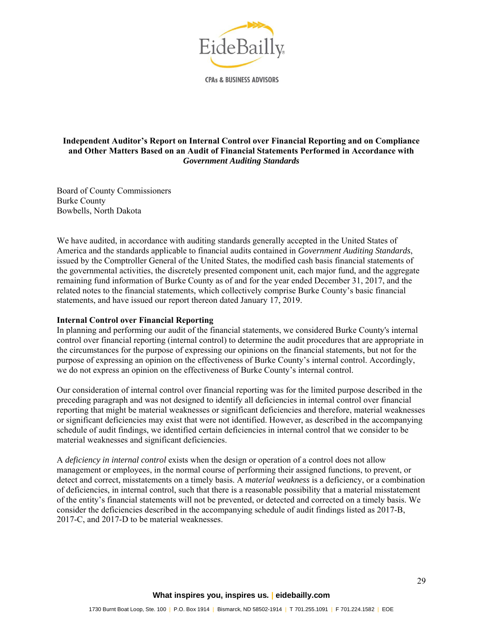

**CPAs & BUSINESS ADVISORS** 

## **Independent Auditor's Report on Internal Control over Financial Reporting and on Compliance and Other Matters Based on an Audit of Financial Statements Performed in Accordance with**  *Government Auditing Standards*

Board of County Commissioners Burke County Bowbells, North Dakota

We have audited, in accordance with auditing standards generally accepted in the United States of America and the standards applicable to financial audits contained in *Government Auditing Standards*, issued by the Comptroller General of the United States, the modified cash basis financial statements of the governmental activities, the discretely presented component unit, each major fund, and the aggregate remaining fund information of Burke County as of and for the year ended December 31, 2017, and the related notes to the financial statements, which collectively comprise Burke County's basic financial statements, and have issued our report thereon dated January 17, 2019.

### **Internal Control over Financial Reporting**

In planning and performing our audit of the financial statements, we considered Burke County's internal control over financial reporting (internal control) to determine the audit procedures that are appropriate in the circumstances for the purpose of expressing our opinions on the financial statements, but not for the purpose of expressing an opinion on the effectiveness of Burke County's internal control. Accordingly, we do not express an opinion on the effectiveness of Burke County's internal control.

Our consideration of internal control over financial reporting was for the limited purpose described in the preceding paragraph and was not designed to identify all deficiencies in internal control over financial reporting that might be material weaknesses or significant deficiencies and therefore, material weaknesses or significant deficiencies may exist that were not identified. However, as described in the accompanying schedule of audit findings, we identified certain deficiencies in internal control that we consider to be material weaknesses and significant deficiencies.

A *deficiency in internal control* exists when the design or operation of a control does not allow management or employees, in the normal course of performing their assigned functions, to prevent, or detect and correct, misstatements on a timely basis. A *material weakness* is a deficiency, or a combination of deficiencies, in internal control, such that there is a reasonable possibility that a material misstatement of the entity's financial statements will not be prevented, or detected and corrected on a timely basis. We consider the deficiencies described in the accompanying schedule of audit findings listed as 2017-B, 2017-C, and 2017-D to be material weaknesses.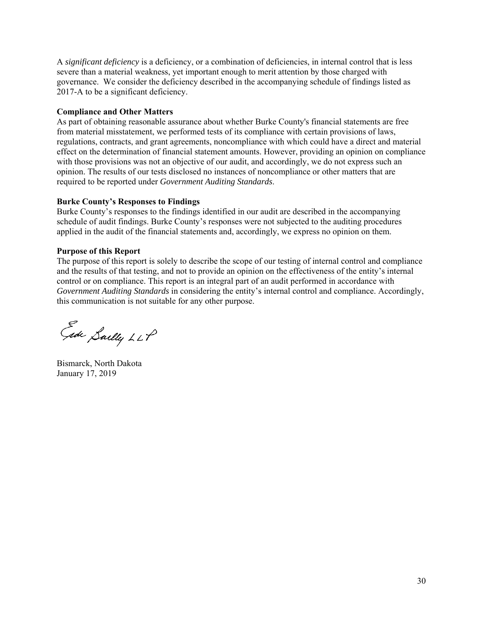A *significant deficiency* is a deficiency, or a combination of deficiencies, in internal control that is less severe than a material weakness, yet important enough to merit attention by those charged with governance. We consider the deficiency described in the accompanying schedule of findings listed as 2017-A to be a significant deficiency.

#### **Compliance and Other Matters**

As part of obtaining reasonable assurance about whether Burke County's financial statements are free from material misstatement, we performed tests of its compliance with certain provisions of laws, regulations, contracts, and grant agreements, noncompliance with which could have a direct and material effect on the determination of financial statement amounts. However, providing an opinion on compliance with those provisions was not an objective of our audit, and accordingly, we do not express such an opinion. The results of our tests disclosed no instances of noncompliance or other matters that are required to be reported under *Government Auditing Standards*.

#### **Burke County's Responses to Findings**

Burke County's responses to the findings identified in our audit are described in the accompanying schedule of audit findings. Burke County's responses were not subjected to the auditing procedures applied in the audit of the financial statements and, accordingly, we express no opinion on them.

#### **Purpose of this Report**

The purpose of this report is solely to describe the scope of our testing of internal control and compliance and the results of that testing, and not to provide an opinion on the effectiveness of the entity's internal control or on compliance. This report is an integral part of an audit performed in accordance with *Government Auditing Standards* in considering the entity's internal control and compliance. Accordingly, this communication is not suitable for any other purpose.

Ede Sailly LLP

Bismarck, North Dakota January 17, 2019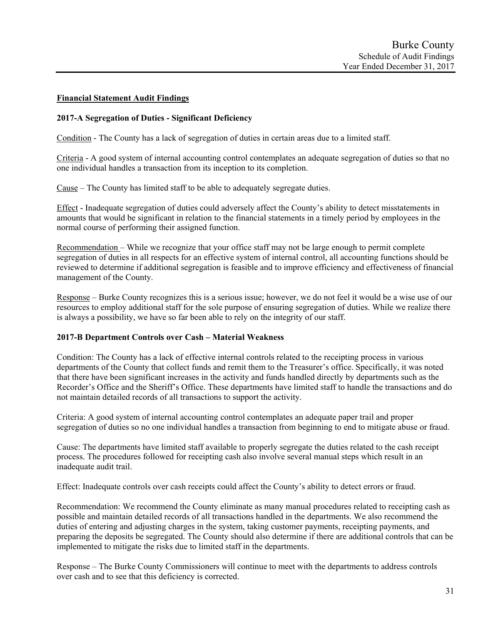## **Financial Statement Audit Findings**

### **2017-A Segregation of Duties - Significant Deficiency**

Condition - The County has a lack of segregation of duties in certain areas due to a limited staff.

Criteria - A good system of internal accounting control contemplates an adequate segregation of duties so that no one individual handles a transaction from its inception to its completion.

Cause – The County has limited staff to be able to adequately segregate duties.

Effect - Inadequate segregation of duties could adversely affect the County's ability to detect misstatements in amounts that would be significant in relation to the financial statements in a timely period by employees in the normal course of performing their assigned function.

Recommendation – While we recognize that your office staff may not be large enough to permit complete segregation of duties in all respects for an effective system of internal control, all accounting functions should be reviewed to determine if additional segregation is feasible and to improve efficiency and effectiveness of financial management of the County.

Response – Burke County recognizes this is a serious issue; however, we do not feel it would be a wise use of our resources to employ additional staff for the sole purpose of ensuring segregation of duties. While we realize there is always a possibility, we have so far been able to rely on the integrity of our staff.

### **2017-B Department Controls over Cash – Material Weakness**

Condition: The County has a lack of effective internal controls related to the receipting process in various departments of the County that collect funds and remit them to the Treasurer's office. Specifically, it was noted that there have been significant increases in the activity and funds handled directly by departments such as the Recorder's Office and the Sheriff's Office. These departments have limited staff to handle the transactions and do not maintain detailed records of all transactions to support the activity.

Criteria: A good system of internal accounting control contemplates an adequate paper trail and proper segregation of duties so no one individual handles a transaction from beginning to end to mitigate abuse or fraud.

Cause: The departments have limited staff available to properly segregate the duties related to the cash receipt process. The procedures followed for receipting cash also involve several manual steps which result in an inadequate audit trail.

Effect: Inadequate controls over cash receipts could affect the County's ability to detect errors or fraud.

Recommendation: We recommend the County eliminate as many manual procedures related to receipting cash as possible and maintain detailed records of all transactions handled in the departments. We also recommend the duties of entering and adjusting charges in the system, taking customer payments, receipting payments, and preparing the deposits be segregated. The County should also determine if there are additional controls that can be implemented to mitigate the risks due to limited staff in the departments.

Response – The Burke County Commissioners will continue to meet with the departments to address controls over cash and to see that this deficiency is corrected.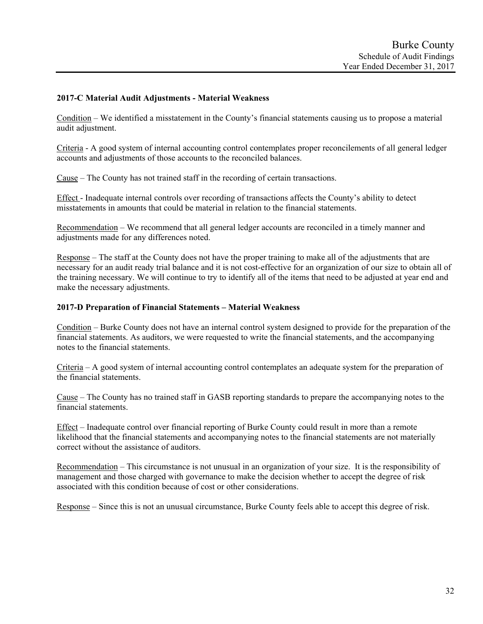### **2017-C Material Audit Adjustments - Material Weakness**

Condition – We identified a misstatement in the County's financial statements causing us to propose a material audit adjustment.

Criteria - A good system of internal accounting control contemplates proper reconcilements of all general ledger accounts and adjustments of those accounts to the reconciled balances.

Cause – The County has not trained staff in the recording of certain transactions.

Effect - Inadequate internal controls over recording of transactions affects the County's ability to detect misstatements in amounts that could be material in relation to the financial statements.

Recommendation – We recommend that all general ledger accounts are reconciled in a timely manner and adjustments made for any differences noted.

Response – The staff at the County does not have the proper training to make all of the adjustments that are necessary for an audit ready trial balance and it is not cost-effective for an organization of our size to obtain all of the training necessary. We will continue to try to identify all of the items that need to be adjusted at year end and make the necessary adjustments.

#### **2017-D Preparation of Financial Statements – Material Weakness**

Condition – Burke County does not have an internal control system designed to provide for the preparation of the financial statements. As auditors, we were requested to write the financial statements, and the accompanying notes to the financial statements.

Criteria – A good system of internal accounting control contemplates an adequate system for the preparation of the financial statements.

Cause – The County has no trained staff in GASB reporting standards to prepare the accompanying notes to the financial statements.

Effect – Inadequate control over financial reporting of Burke County could result in more than a remote likelihood that the financial statements and accompanying notes to the financial statements are not materially correct without the assistance of auditors.

Recommendation – This circumstance is not unusual in an organization of your size. It is the responsibility of management and those charged with governance to make the decision whether to accept the degree of risk associated with this condition because of cost or other considerations.

Response – Since this is not an unusual circumstance, Burke County feels able to accept this degree of risk.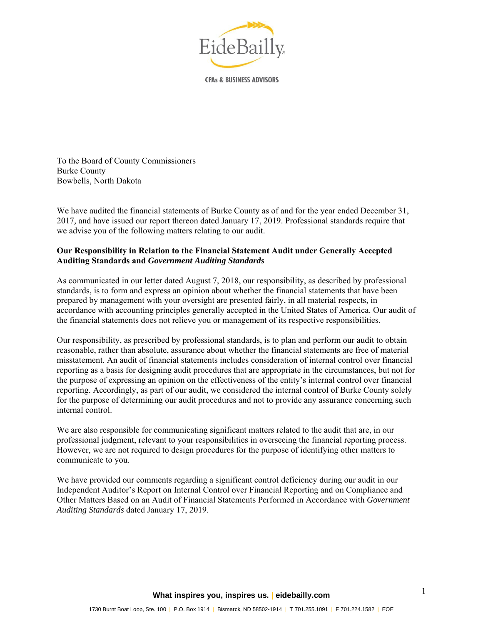

**CPAs & BUSINESS ADVISORS** 

To the Board of County Commissioners Burke County Bowbells, North Dakota

We have audited the financial statements of Burke County as of and for the year ended December 31, 2017*,* and have issued our report thereon dated January 17, 2019. Professional standards require that we advise you of the following matters relating to our audit.

### **Our Responsibility in Relation to the Financial Statement Audit under Generally Accepted Auditing Standards and** *Government Auditing Standards*

As communicated in our letter dated August 7, 2018, our responsibility, as described by professional standards, is to form and express an opinion about whether the financial statements that have been prepared by management with your oversight are presented fairly, in all material respects, in accordance with accounting principles generally accepted in the United States of America. Our audit of the financial statements does not relieve you or management of its respective responsibilities.

Our responsibility, as prescribed by professional standards, is to plan and perform our audit to obtain reasonable, rather than absolute, assurance about whether the financial statements are free of material misstatement. An audit of financial statements includes consideration of internal control over financial reporting as a basis for designing audit procedures that are appropriate in the circumstances, but not for the purpose of expressing an opinion on the effectiveness of the entity's internal control over financial reporting. Accordingly, as part of our audit, we considered the internal control of Burke County solely for the purpose of determining our audit procedures and not to provide any assurance concerning such internal control.

We are also responsible for communicating significant matters related to the audit that are, in our professional judgment, relevant to your responsibilities in overseeing the financial reporting process. However, we are not required to design procedures for the purpose of identifying other matters to communicate to you.

We have provided our comments regarding a significant control deficiency during our audit in our Independent Auditor's Report on Internal Control over Financial Reporting and on Compliance and Other Matters Based on an Audit of Financial Statements Performed in Accordance with *Government Auditing Standards* dated January 17, 2019.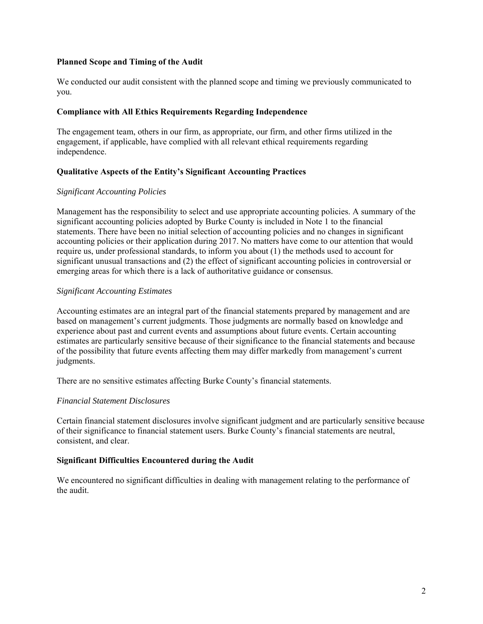### **Planned Scope and Timing of the Audit**

We conducted our audit consistent with the planned scope and timing we previously communicated to you.

#### **Compliance with All Ethics Requirements Regarding Independence**

The engagement team, others in our firm, as appropriate, our firm, and other firms utilized in the engagement, if applicable, have complied with all relevant ethical requirements regarding independence.

### **Qualitative Aspects of the Entity's Significant Accounting Practices**

#### *Significant Accounting Policies*

Management has the responsibility to select and use appropriate accounting policies. A summary of the significant accounting policies adopted by Burke County is included in Note 1 to the financial statements. There have been no initial selection of accounting policies and no changes in significant accounting policies or their application during 2017. No matters have come to our attention that would require us, under professional standards, to inform you about (1) the methods used to account for significant unusual transactions and (2) the effect of significant accounting policies in controversial or emerging areas for which there is a lack of authoritative guidance or consensus.

#### *Significant Accounting Estimates*

Accounting estimates are an integral part of the financial statements prepared by management and are based on management's current judgments. Those judgments are normally based on knowledge and experience about past and current events and assumptions about future events. Certain accounting estimates are particularly sensitive because of their significance to the financial statements and because of the possibility that future events affecting them may differ markedly from management's current judgments.

There are no sensitive estimates affecting Burke County's financial statements.

### *Financial Statement Disclosures*

Certain financial statement disclosures involve significant judgment and are particularly sensitive because of their significance to financial statement users. Burke County's financial statements are neutral, consistent, and clear.

### **Significant Difficulties Encountered during the Audit**

We encountered no significant difficulties in dealing with management relating to the performance of the audit.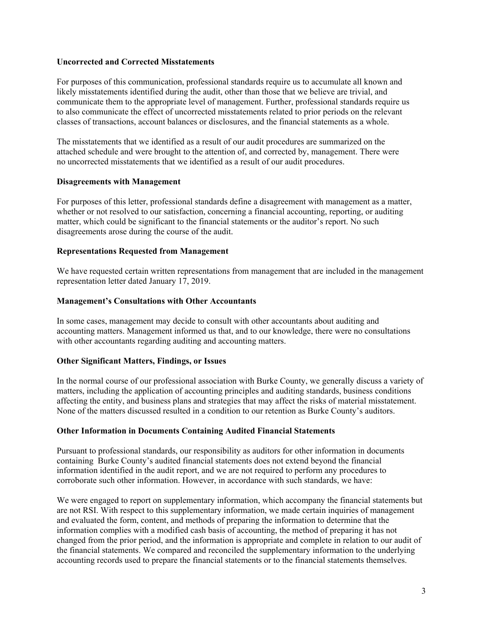### **Uncorrected and Corrected Misstatements**

For purposes of this communication, professional standards require us to accumulate all known and likely misstatements identified during the audit, other than those that we believe are trivial, and communicate them to the appropriate level of management. Further, professional standards require us to also communicate the effect of uncorrected misstatements related to prior periods on the relevant classes of transactions, account balances or disclosures, and the financial statements as a whole.

The misstatements that we identified as a result of our audit procedures are summarized on the attached schedule and were brought to the attention of, and corrected by, management. There were no uncorrected misstatements that we identified as a result of our audit procedures.

## **Disagreements with Management**

For purposes of this letter, professional standards define a disagreement with management as a matter, whether or not resolved to our satisfaction, concerning a financial accounting, reporting, or auditing matter, which could be significant to the financial statements or the auditor's report. No such disagreements arose during the course of the audit.

## **Representations Requested from Management**

We have requested certain written representations from management that are included in the management representation letter dated January 17, 2019.

## **Management's Consultations with Other Accountants**

In some cases, management may decide to consult with other accountants about auditing and accounting matters. Management informed us that, and to our knowledge, there were no consultations with other accountants regarding auditing and accounting matters.

### **Other Significant Matters, Findings, or Issues**

In the normal course of our professional association with Burke County, we generally discuss a variety of matters, including the application of accounting principles and auditing standards, business conditions affecting the entity, and business plans and strategies that may affect the risks of material misstatement. None of the matters discussed resulted in a condition to our retention as Burke County's auditors.

### **Other Information in Documents Containing Audited Financial Statements**

Pursuant to professional standards, our responsibility as auditors for other information in documents containing Burke County's audited financial statements does not extend beyond the financial information identified in the audit report, and we are not required to perform any procedures to corroborate such other information. However, in accordance with such standards, we have:

We were engaged to report on supplementary information, which accompany the financial statements but are not RSI. With respect to this supplementary information, we made certain inquiries of management and evaluated the form, content, and methods of preparing the information to determine that the information complies with a modified cash basis of accounting, the method of preparing it has not changed from the prior period, and the information is appropriate and complete in relation to our audit of the financial statements. We compared and reconciled the supplementary information to the underlying accounting records used to prepare the financial statements or to the financial statements themselves.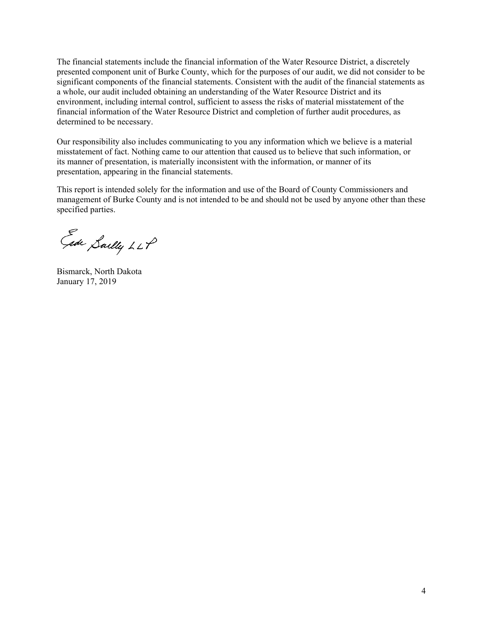The financial statements include the financial information of the Water Resource District, a discretely presented component unit of Burke County, which for the purposes of our audit, we did not consider to be significant components of the financial statements. Consistent with the audit of the financial statements as a whole, our audit included obtaining an understanding of the Water Resource District and its environment, including internal control, sufficient to assess the risks of material misstatement of the financial information of the Water Resource District and completion of further audit procedures, as determined to be necessary.

Our responsibility also includes communicating to you any information which we believe is a material misstatement of fact. Nothing came to our attention that caused us to believe that such information, or its manner of presentation, is materially inconsistent with the information, or manner of its presentation, appearing in the financial statements.

This report is intended solely for the information and use of the Board of County Commissioners and management of Burke County and is not intended to be and should not be used by anyone other than these specified parties.

Gide Sailly LLP

Bismarck, North Dakota January 17, 2019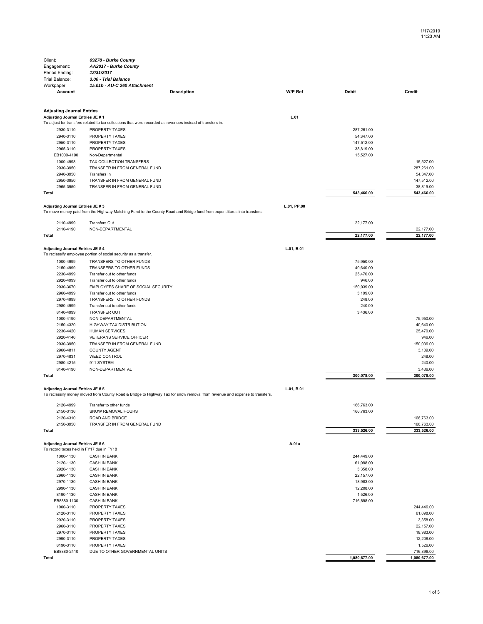| Client:                                                                      | 69278 - Burke County                                                                                                       |             |                         |                         |
|------------------------------------------------------------------------------|----------------------------------------------------------------------------------------------------------------------------|-------------|-------------------------|-------------------------|
| Engagement:                                                                  | AA2017 - Burke County                                                                                                      |             |                         |                         |
| Period Ending:                                                               | 12/31/2017                                                                                                                 |             |                         |                         |
| Trial Balance:                                                               | 3.00 - Trial Balance                                                                                                       |             |                         |                         |
| Workpaper:                                                                   | 1a.01b - AU-C 260 Attachment                                                                                               |             |                         |                         |
| Account                                                                      | Description                                                                                                                | W/P Ref     | <b>Debit</b>            | Credit                  |
| <b>Adjusting Journal Entries</b>                                             |                                                                                                                            |             |                         |                         |
| Adjusting Journal Entries JE # 1                                             |                                                                                                                            | L.01        |                         |                         |
|                                                                              | To adjust for transfers related to tax collections that were recorded as revenues instead of transfers in.                 |             |                         |                         |
| 2930-3110                                                                    | PROPERTY TAXES                                                                                                             |             | 287,261.00              |                         |
| 2940-3110                                                                    | PROPERTY TAXES                                                                                                             |             | 54,347.00               |                         |
| 2950-3110<br>2965-3110                                                       | PROPERTY TAXES<br>PROPERTY TAXES                                                                                           |             | 147,512.00<br>38,819.00 |                         |
| EB1000-4190                                                                  | Non-Departmental                                                                                                           |             | 15,527.00               |                         |
| 1000-4998                                                                    | TAX COLLECTION TRANSFERS                                                                                                   |             |                         | 15,527.00               |
| 2930-3950                                                                    | TRANSFER IN FROM GENERAL FUND                                                                                              |             |                         | 287,261.00              |
| 2940-3950                                                                    | Transfers In                                                                                                               |             |                         | 54,347.00               |
| 2950-3950                                                                    | TRANSFER IN FROM GENERAL FUND                                                                                              |             |                         | 147,512.00              |
| 2965-3950                                                                    | TRANSFER IN FROM GENERAL FUND                                                                                              |             |                         | 38,819.00               |
| Total                                                                        |                                                                                                                            |             | 543,466.00              | 543,466.00              |
|                                                                              |                                                                                                                            | L.01, PP.00 |                         |                         |
| Adjusting Journal Entries JE # 3                                             | To move money paid from the Highway Matching Fund to the County Road and Bridge fund from expenditures into transfers.     |             |                         |                         |
|                                                                              |                                                                                                                            |             |                         |                         |
| 2110-4999                                                                    | <b>Transfers Out</b>                                                                                                       |             | 22,177.00               |                         |
| 2110-4190                                                                    | NON-DEPARTMENTAL                                                                                                           |             |                         | 22,177.00               |
| Total                                                                        |                                                                                                                            |             | 22.177.00               | 22,177.00               |
| Adjusting Journal Entries JE # 4                                             |                                                                                                                            | L.01, B.01  |                         |                         |
|                                                                              | To reclassify employee portion of social security as a transfer.                                                           |             |                         |                         |
| 1000-4999                                                                    | TRANSFERS TO OTHER FUNDS                                                                                                   |             | 75,950.00               |                         |
| 2150-4999                                                                    | TRANSFERS TO OTHER FUNDS                                                                                                   |             | 40,640.00               |                         |
| 2230-4999                                                                    | Transfer out to other funds                                                                                                |             | 25,470.00               |                         |
| 2920-4999                                                                    | Transfer out to other funds                                                                                                |             | 946.00                  |                         |
| 2930-3670                                                                    | EMPLOYEES SHARE OF SOCIAL SECURITY                                                                                         |             | 150,039.00              |                         |
| 2960-4999                                                                    | Transfer out to other funds<br>TRANSFERS TO OTHER FUNDS                                                                    |             | 3,109.00                |                         |
| 2970-4999<br>2980-4999                                                       | Transfer out to other funds                                                                                                |             | 248.00<br>240.00        |                         |
| 8140-4999                                                                    | <b>TRANSFER OUT</b>                                                                                                        |             | 3,436.00                |                         |
| 1000-4190                                                                    | NON-DEPARTMENTAL                                                                                                           |             |                         | 75,950.00               |
| 2150-4320                                                                    | HIGHWAY TAX DISTRIBUTION                                                                                                   |             |                         | 40,640.00               |
| 2230-4420                                                                    | <b>HUMAN SERVICES</b>                                                                                                      |             |                         | 25,470.00               |
| 2920-4146                                                                    | VETERANS SERVICE OFFICER                                                                                                   |             |                         | 946.00                  |
| 2930-3950                                                                    | TRANSFER IN FROM GENERAL FUND                                                                                              |             |                         | 150,039.00              |
| 2960-4811                                                                    | <b>COUNTY AGENT</b>                                                                                                        |             |                         | 3,109.00                |
| 2970-4831<br>2980-4215                                                       | <b>WEED CONTROL</b><br>911 SYSTEM                                                                                          |             |                         | 248.00<br>240.00        |
| 8140-4190                                                                    | NON-DEPARTMENTAL                                                                                                           |             |                         | 3,436.00                |
| Total                                                                        |                                                                                                                            |             | 300,078.00              | 300,078.00              |
|                                                                              |                                                                                                                            |             |                         |                         |
| Adjusting Journal Entries JE # 5                                             |                                                                                                                            | L.01, B.01  |                         |                         |
|                                                                              | To reclassify money moved from County Road & Bridge to Highway Tax for snow removal from revenue and expense to transfers. |             |                         |                         |
| 2120-4999                                                                    | Transfer to other funds                                                                                                    |             | 166,763.00              |                         |
| 2150-3136                                                                    | SNOW REMOVAL HOURS                                                                                                         |             | 166,763.00              |                         |
| 2120-4310                                                                    | ROAD AND BRIDGE                                                                                                            |             |                         | 166,763.00              |
| 2150-3950                                                                    | TRANSFER IN FROM GENERAL FUND                                                                                              |             |                         | 166,763.00              |
| Total                                                                        |                                                                                                                            |             | 333,526.00              | 333,526.00              |
|                                                                              |                                                                                                                            |             |                         |                         |
| Adjusting Journal Entries JE # 6<br>To record taxes held in FY17 due in FY18 |                                                                                                                            | A.01a       |                         |                         |
| 1000-1130                                                                    | CASH IN BANK                                                                                                               |             | 244,449.00              |                         |
| 2120-1130                                                                    | CASH IN BANK                                                                                                               |             | 61,098.00               |                         |
| 2920-1130                                                                    | CASH IN BANK                                                                                                               |             | 3,358.00                |                         |
| 2960-1130                                                                    | CASH IN BANK                                                                                                               |             | 22,157.00               |                         |
| 2970-1130                                                                    | CASH IN BANK                                                                                                               |             | 18,983.00               |                         |
| 2990-1130                                                                    | <b>CASH IN BANK</b>                                                                                                        |             | 12,208.00               |                         |
| 8190-1130                                                                    | CASH IN BANK                                                                                                               |             | 1,526.00                |                         |
| EB8880-1130                                                                  | CASH IN BANK                                                                                                               |             | 716,898.00              |                         |
| 1000-3110<br>2120-3110                                                       | PROPERTY TAXES<br>PROPERTY TAXES                                                                                           |             |                         | 244,449.00<br>61,098.00 |
| 2920-3110                                                                    | PROPERTY TAXES                                                                                                             |             |                         | 3,358.00                |
| 2960-3110                                                                    | PROPERTY TAXES                                                                                                             |             |                         | 22,157.00               |
| 2970-3110                                                                    | PROPERTY TAXES                                                                                                             |             |                         | 18,983.00               |
| 2990-3110                                                                    | PROPERTY TAXES                                                                                                             |             |                         | 12,208.00               |
| 8190-3110                                                                    | PROPERTY TAXES                                                                                                             |             |                         | 1,526.00                |
| EB8880-2410                                                                  | DUE TO OTHER GOVERNMENTAL UNITS                                                                                            |             |                         | 716,898.00              |
| Total                                                                        |                                                                                                                            |             | 1,080,677.00            | 1,080,677.00            |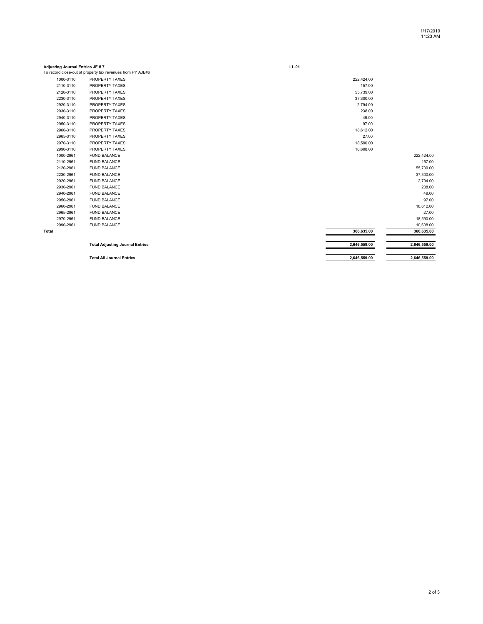| Adjusting Journal Entries JE # 7 |                                                            | <b>LL.01</b> |              |
|----------------------------------|------------------------------------------------------------|--------------|--------------|
|                                  | To record close-out of property tax revenues from PY AJE#6 |              |              |
| 1000-3110                        | PROPERTY TAXES                                             | 222,424.00   |              |
| 2110-3110                        | PROPERTY TAXES                                             | 157.00       |              |
| 2120-3110                        | PROPERTY TAXES                                             | 55,739.00    |              |
| 2230-3110                        | PROPERTY TAXES                                             | 37,300.00    |              |
| 2920-3110                        | PROPERTY TAXES                                             | 2,794.00     |              |
| 2930-3110                        | PROPERTY TAXES                                             | 238.00       |              |
| 2940-3110                        | PROPERTY TAXES                                             | 49.00        |              |
| 2950-3110                        | PROPERTY TAXES                                             | 97.00        |              |
| 2960-3110                        | PROPERTY TAXES                                             | 18,612.00    |              |
| 2965-3110                        | PROPERTY TAXES                                             | 27.00        |              |
| 2970-3110                        | PROPERTY TAXES                                             | 18,590.00    |              |
| 2990-3110                        | PROPERTY TAXES                                             | 10,608.00    |              |
| 1000-2961                        | FUND BALANCE                                               |              | 222.424.00   |
| 2110-2961                        | <b>FUND BALANCE</b>                                        |              | 157.00       |
| 2120-2961                        | <b>FUND BALANCE</b>                                        |              | 55,739.00    |
| 2230-2961                        | <b>FUND BALANCE</b>                                        |              | 37,300.00    |
| 2920-2961                        | FUND BALANCE                                               |              | 2,794.00     |
| 2930-2961                        | <b>FUND BALANCE</b>                                        |              | 238.00       |
| 2940-2961                        | <b>FUND BALANCE</b>                                        |              | 49.00        |
| 2950-2961                        | <b>FUND BALANCE</b>                                        |              | 97.00        |
| 2960-2961                        | <b>FUND BALANCE</b>                                        |              | 18,612.00    |
| 2965-2961                        | <b>FUND BALANCE</b>                                        |              | 27.00        |
| 2970-2961                        | <b>FUND BALANCE</b>                                        |              | 18,590.00    |
| 2990-2961                        | <b>FUND BALANCE</b>                                        |              | 10,608.00    |
| Total                            |                                                            | 366,635.00   | 366,635.00   |
|                                  | <b>Total Adjusting Journal Entries</b>                     | 2,646,559.00 | 2,646,559.00 |
|                                  | <b>Total All Journal Entries</b>                           | 2,646,559.00 | 2,646,559.00 |